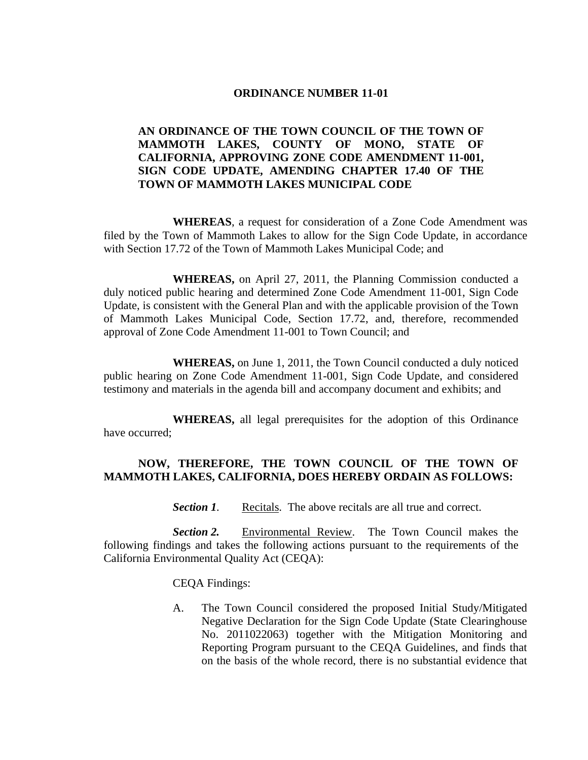#### **ORDINANCE NUMBER 11-01**

## **AN ORDINANCE OF THE TOWN COUNCIL OF THE TOWN OF MAMMOTH LAKES, COUNTY OF MONO, STATE OF CALIFORNIA, APPROVING ZONE CODE AMENDMENT 11-001, SIGN CODE UPDATE, AMENDING CHAPTER 17.40 OF THE TOWN OF MAMMOTH LAKES MUNICIPAL CODE**

 **WHEREAS**, a request for consideration of a Zone Code Amendment was filed by the Town of Mammoth Lakes to allow for the Sign Code Update, in accordance with Section 17.72 of the Town of Mammoth Lakes Municipal Code; and

**WHEREAS,** on April 27, 2011, the Planning Commission conducted a duly noticed public hearing and determined Zone Code Amendment 11-001, Sign Code Update, is consistent with the General Plan and with the applicable provision of the Town of Mammoth Lakes Municipal Code, Section 17.72, and, therefore, recommended approval of Zone Code Amendment 11-001 to Town Council; and

**WHEREAS,** on June 1, 2011, the Town Council conducted a duly noticed public hearing on Zone Code Amendment 11-001, Sign Code Update, and considered testimony and materials in the agenda bill and accompany document and exhibits; and

**WHEREAS,** all legal prerequisites for the adoption of this Ordinance have occurred;

## **NOW, THEREFORE, THE TOWN COUNCIL OF THE TOWN OF MAMMOTH LAKES, CALIFORNIA, DOES HEREBY ORDAIN AS FOLLOWS:**

*Section 1.* Recitals. The above recitals are all true and correct.

*Section 2.* Environmental Review. The Town Council makes the following findings and takes the following actions pursuant to the requirements of the California Environmental Quality Act (CEQA):

CEQA Findings:

A. The Town Council considered the proposed Initial Study/Mitigated Negative Declaration for the Sign Code Update (State Clearinghouse No. 2011022063) together with the Mitigation Monitoring and Reporting Program pursuant to the CEQA Guidelines, and finds that on the basis of the whole record, there is no substantial evidence that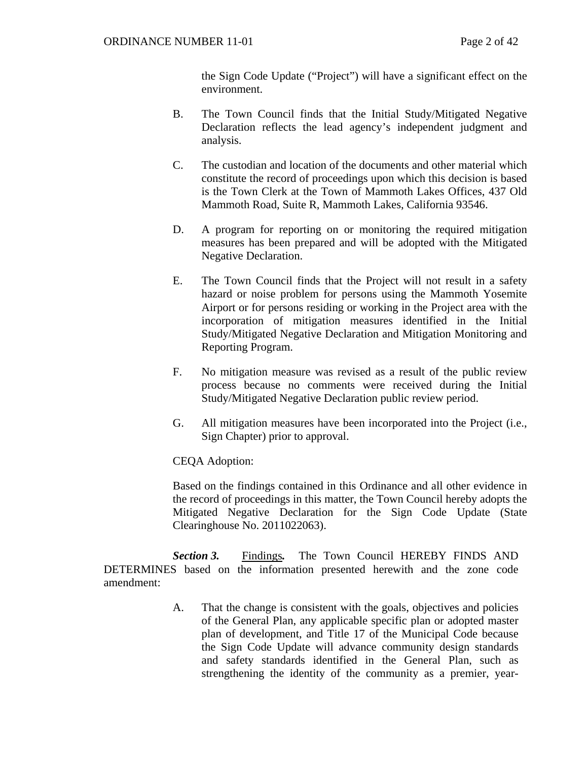the Sign Code Update ("Project") will have a significant effect on the environment.

- B. The Town Council finds that the Initial Study/Mitigated Negative Declaration reflects the lead agency's independent judgment and analysis.
- C. The custodian and location of the documents and other material which constitute the record of proceedings upon which this decision is based is the Town Clerk at the Town of Mammoth Lakes Offices, 437 Old Mammoth Road, Suite R, Mammoth Lakes, California 93546.
- D. A program for reporting on or monitoring the required mitigation measures has been prepared and will be adopted with the Mitigated Negative Declaration.
- E. The Town Council finds that the Project will not result in a safety hazard or noise problem for persons using the Mammoth Yosemite Airport or for persons residing or working in the Project area with the incorporation of mitigation measures identified in the Initial Study/Mitigated Negative Declaration and Mitigation Monitoring and Reporting Program.
- F. No mitigation measure was revised as a result of the public review process because no comments were received during the Initial Study/Mitigated Negative Declaration public review period.
- G. All mitigation measures have been incorporated into the Project (i.e., Sign Chapter) prior to approval.

CEQA Adoption:

Based on the findings contained in this Ordinance and all other evidence in the record of proceedings in this matter, the Town Council hereby adopts the Mitigated Negative Declaration for the Sign Code Update (State Clearinghouse No. 2011022063).

 *Section 3.* Findings*.* The Town Council HEREBY FINDS AND DETERMINES based on the information presented herewith and the zone code amendment:

> A. That the change is consistent with the goals, objectives and policies of the General Plan, any applicable specific plan or adopted master plan of development, and Title 17 of the Municipal Code because the Sign Code Update will advance community design standards and safety standards identified in the General Plan, such as strengthening the identity of the community as a premier, year-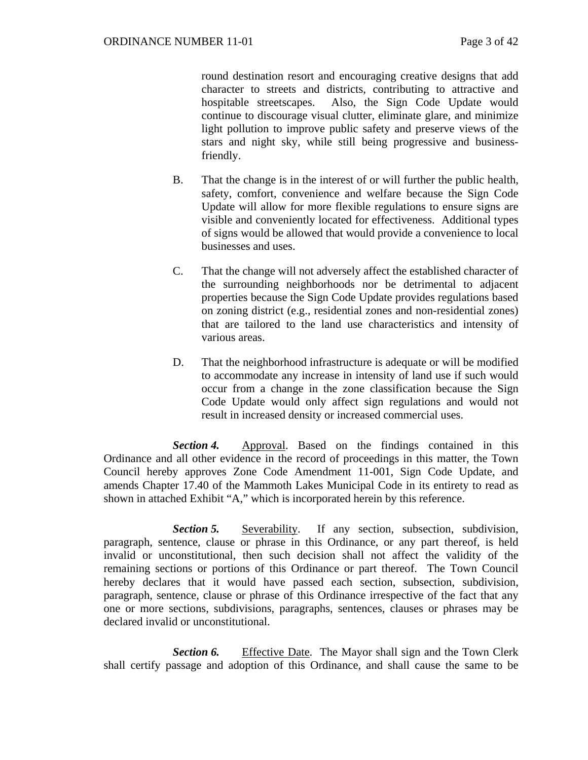round destination resort and encouraging creative designs that add character to streets and districts, contributing to attractive and hospitable streetscapes. Also, the Sign Code Update would continue to discourage visual clutter, eliminate glare, and minimize light pollution to improve public safety and preserve views of the stars and night sky, while still being progressive and businessfriendly.

- B. That the change is in the interest of or will further the public health, safety, comfort, convenience and welfare because the Sign Code Update will allow for more flexible regulations to ensure signs are visible and conveniently located for effectiveness. Additional types of signs would be allowed that would provide a convenience to local businesses and uses.
- C. That the change will not adversely affect the established character of the surrounding neighborhoods nor be detrimental to adjacent properties because the Sign Code Update provides regulations based on zoning district (e.g., residential zones and non-residential zones) that are tailored to the land use characteristics and intensity of various areas.
- D. That the neighborhood infrastructure is adequate or will be modified to accommodate any increase in intensity of land use if such would occur from a change in the zone classification because the Sign Code Update would only affect sign regulations and would not result in increased density or increased commercial uses.

*Section 4.* Approval. Based on the findings contained in this Ordinance and all other evidence in the record of proceedings in this matter, the Town Council hereby approves Zone Code Amendment 11-001, Sign Code Update, and amends Chapter 17.40 of the Mammoth Lakes Municipal Code in its entirety to read as shown in attached Exhibit "A," which is incorporated herein by this reference.

**Section 5.** Severability. If any section, subsection, subdivision, paragraph, sentence, clause or phrase in this Ordinance, or any part thereof, is held invalid or unconstitutional, then such decision shall not affect the validity of the remaining sections or portions of this Ordinance or part thereof. The Town Council hereby declares that it would have passed each section, subsection, subdivision, paragraph, sentence, clause or phrase of this Ordinance irrespective of the fact that any one or more sections, subdivisions, paragraphs, sentences, clauses or phrases may be declared invalid or unconstitutional.

**Section 6.** Effective Date. The Mayor shall sign and the Town Clerk shall certify passage and adoption of this Ordinance, and shall cause the same to be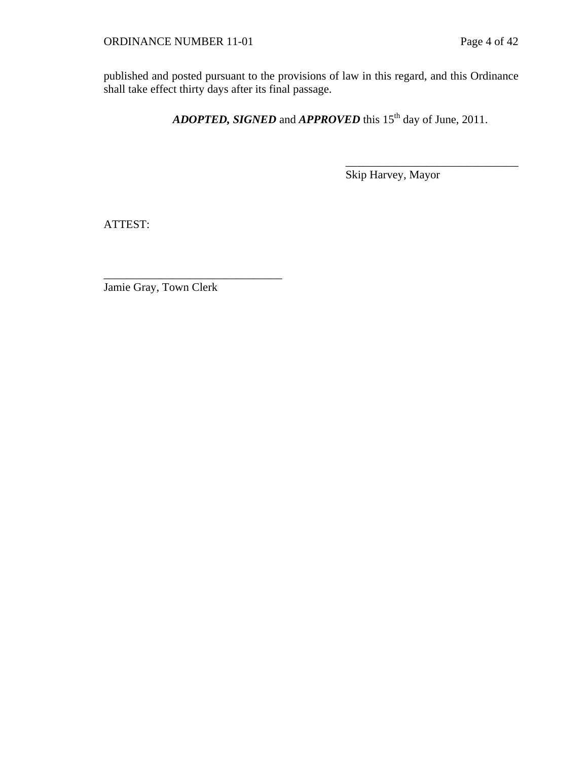published and posted pursuant to the provisions of law in this regard, and this Ordinance shall take effect thirty days after its final passage.

*ADOPTED, SIGNED* and *APPROVED* this 15<sup>th</sup> day of June, 2011.

Skip Harvey, Mayor

\_\_\_\_\_\_\_\_\_\_\_\_\_\_\_\_\_\_\_\_\_\_\_\_\_\_\_\_\_\_

ATTEST:

Jamie Gray, Town Clerk

\_\_\_\_\_\_\_\_\_\_\_\_\_\_\_\_\_\_\_\_\_\_\_\_\_\_\_\_\_\_\_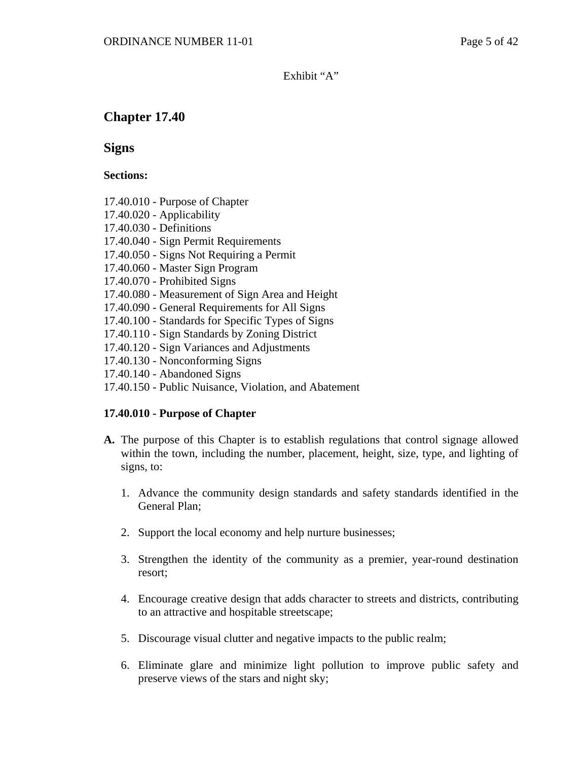Exhibit "A"

# **Chapter 17.40**

**Signs** 

#### **Sections:**

- 17.40.010 Purpose of Chapter
- 17.40.020 Applicability
- 17.40.030 Definitions
- 17.40.040 Sign Permit Requirements
- 17.40.050 Signs Not Requiring a Permit
- 17.40.060 Master Sign Program
- 17.40.070 Prohibited Signs
- 17.40.080 Measurement of Sign Area and Height
- 17.40.090 General Requirements for All Signs
- 17.40.100 Standards for Specific Types of Signs
- 17.40.110 Sign Standards by Zoning District
- 17.40.120 Sign Variances and Adjustments
- 17.40.130 Nonconforming Signs
- 17.40.140 Abandoned Signs
- 17.40.150 Public Nuisance, Violation, and Abatement

## **17.40.010 - Purpose of Chapter**

- **A.** The purpose of this Chapter is to establish regulations that control signage allowed within the town, including the number, placement, height, size, type, and lighting of signs, to:
	- 1. Advance the community design standards and safety standards identified in the General Plan;
	- 2. Support the local economy and help nurture businesses;
	- 3. Strengthen the identity of the community as a premier, year-round destination resort;
	- 4. Encourage creative design that adds character to streets and districts, contributing to an attractive and hospitable streetscape;
	- 5. Discourage visual clutter and negative impacts to the public realm;
	- 6. Eliminate glare and minimize light pollution to improve public safety and preserve views of the stars and night sky;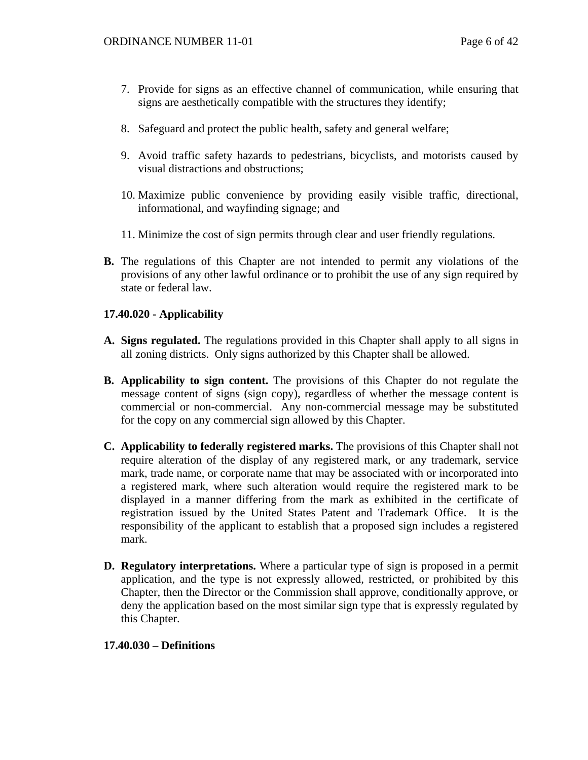- 7. Provide for signs as an effective channel of communication, while ensuring that signs are aesthetically compatible with the structures they identify;
- 8. Safeguard and protect the public health, safety and general welfare;
- 9. Avoid traffic safety hazards to pedestrians, bicyclists, and motorists caused by visual distractions and obstructions;
- 10. Maximize public convenience by providing easily visible traffic, directional, informational, and wayfinding signage; and
- 11. Minimize the cost of sign permits through clear and user friendly regulations.
- **B.** The regulations of this Chapter are not intended to permit any violations of the provisions of any other lawful ordinance or to prohibit the use of any sign required by state or federal law.

## **17.40.020 - Applicability**

- **A. Signs regulated.** The regulations provided in this Chapter shall apply to all signs in all zoning districts. Only signs authorized by this Chapter shall be allowed.
- **B. Applicability to sign content.** The provisions of this Chapter do not regulate the message content of signs (sign copy), regardless of whether the message content is commercial or non-commercial. Any non-commercial message may be substituted for the copy on any commercial sign allowed by this Chapter.
- **C. Applicability to federally registered marks.** The provisions of this Chapter shall not require alteration of the display of any registered mark, or any trademark, service mark, trade name, or corporate name that may be associated with or incorporated into a registered mark, where such alteration would require the registered mark to be displayed in a manner differing from the mark as exhibited in the certificate of registration issued by the United States Patent and Trademark Office. It is the responsibility of the applicant to establish that a proposed sign includes a registered mark.
- **D. Regulatory interpretations.** Where a particular type of sign is proposed in a permit application, and the type is not expressly allowed, restricted, or prohibited by this Chapter, then the Director or the Commission shall approve, conditionally approve, or deny the application based on the most similar sign type that is expressly regulated by this Chapter.

## **17.40.030 – Definitions**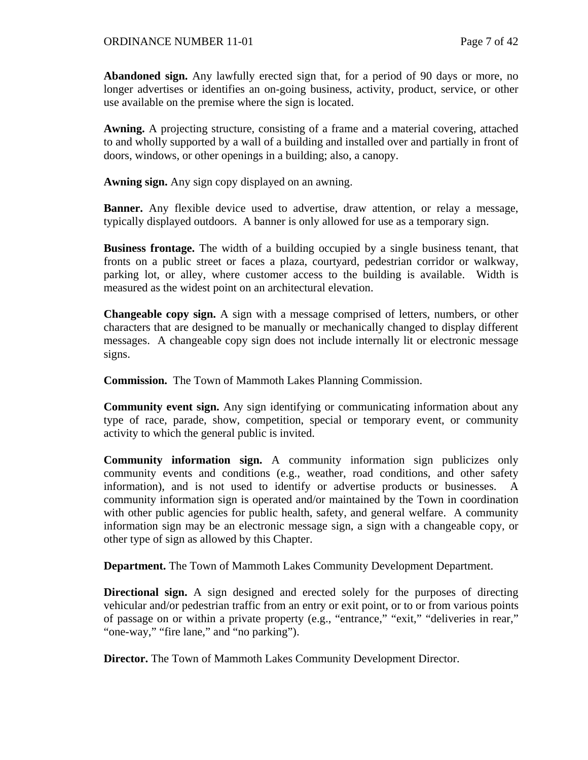**Abandoned sign.** Any lawfully erected sign that, for a period of 90 days or more, no longer advertises or identifies an on-going business, activity, product, service, or other use available on the premise where the sign is located.

**Awning.** A projecting structure, consisting of a frame and a material covering, attached to and wholly supported by a wall of a building and installed over and partially in front of doors, windows, or other openings in a building; also, a canopy.

**Awning sign.** Any sign copy displayed on an awning.

**Banner.** Any flexible device used to advertise, draw attention, or relay a message, typically displayed outdoors. A banner is only allowed for use as a temporary sign.

**Business frontage.** The width of a building occupied by a single business tenant, that fronts on a public street or faces a plaza, courtyard, pedestrian corridor or walkway, parking lot, or alley, where customer access to the building is available. Width is measured as the widest point on an architectural elevation.

**Changeable copy sign.** A sign with a message comprised of letters, numbers, or other characters that are designed to be manually or mechanically changed to display different messages.A changeable copy sign does not include internally lit or electronic message signs.

**Commission.** The Town of Mammoth Lakes Planning Commission.

**Community event sign.** Any sign identifying or communicating information about any type of race, parade, show, competition, special or temporary event, or community activity to which the general public is invited.

**Community information sign.** A community information sign publicizes only community events and conditions (e.g., weather, road conditions, and other safety information), and is not used to identify or advertise products or businesses. A community information sign is operated and/or maintained by the Town in coordination with other public agencies for public health, safety, and general welfare. A community information sign may be an electronic message sign, a sign with a changeable copy, or other type of sign as allowed by this Chapter.

**Department.** The Town of Mammoth Lakes Community Development Department.

**Directional sign.** A sign designed and erected solely for the purposes of directing vehicular and/or pedestrian traffic from an entry or exit point, or to or from various points of passage on or within a private property (e.g., "entrance," "exit," "deliveries in rear," "one-way," "fire lane," and "no parking").

**Director.** The Town of Mammoth Lakes Community Development Director.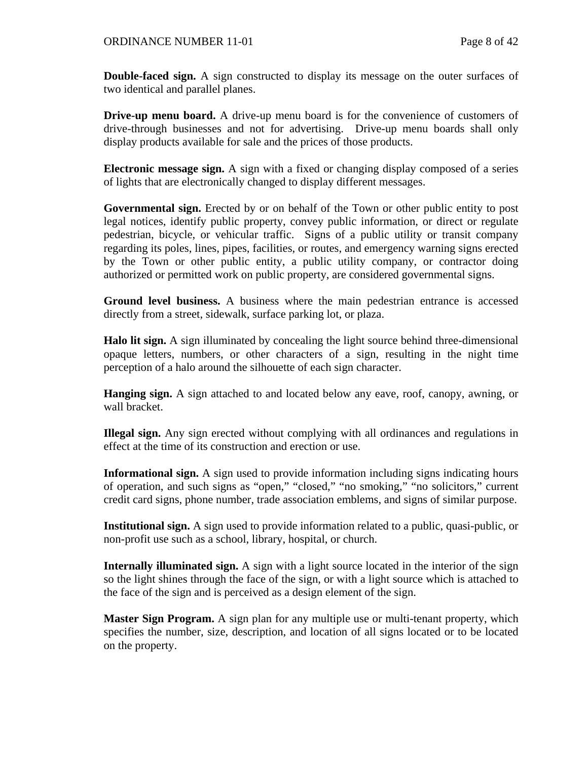**Double-faced sign.** A sign constructed to display its message on the outer surfaces of two identical and parallel planes.

**Drive-up menu board.** A drive-up menu board is for the convenience of customers of drive-through businesses and not for advertising. Drive-up menu boards shall only display products available for sale and the prices of those products.

**Electronic message sign.** A sign with a fixed or changing display composed of a series of lights that are electronically changed to display different messages.

**Governmental sign.** Erected by or on behalf of the Town or other public entity to post legal notices, identify public property, convey public information, or direct or regulate pedestrian, bicycle, or vehicular traffic. Signs of a public utility or transit company regarding its poles, lines, pipes, facilities, or routes, and emergency warning signs erected by the Town or other public entity, a public utility company, or contractor doing authorized or permitted work on public property, are considered governmental signs.

**Ground level business.** A business where the main pedestrian entrance is accessed directly from a street, sidewalk, surface parking lot, or plaza.

**Halo lit sign.** A sign illuminated by concealing the light source behind three-dimensional opaque letters, numbers, or other characters of a sign, resulting in the night time perception of a halo around the silhouette of each sign character.

**Hanging sign.** A sign attached to and located below any eave, roof, canopy, awning, or wall bracket.

**Illegal sign.** Any sign erected without complying with all ordinances and regulations in effect at the time of its construction and erection or use.

**Informational sign.** A sign used to provide information including signs indicating hours of operation, and such signs as "open," "closed," "no smoking," "no solicitors," current credit card signs, phone number, trade association emblems, and signs of similar purpose.

**Institutional sign.** A sign used to provide information related to a public, quasi-public, or non-profit use such as a school, library, hospital, or church.

**Internally illuminated sign.** A sign with a light source located in the interior of the sign so the light shines through the face of the sign, or with a light source which is attached to the face of the sign and is perceived as a design element of the sign.

**Master Sign Program.** A sign plan for any multiple use or multi-tenant property, which specifies the number, size, description, and location of all signs located or to be located on the property.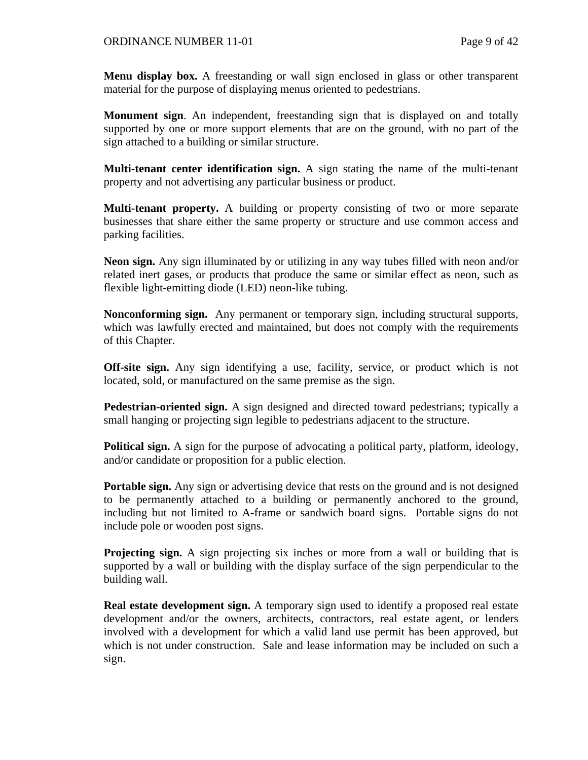**Menu display box.** A freestanding or wall sign enclosed in glass or other transparent material for the purpose of displaying menus oriented to pedestrians.

**Monument sign**. An independent, freestanding sign that is displayed on and totally supported by one or more support elements that are on the ground, with no part of the sign attached to a building or similar structure.

**Multi-tenant center identification sign.** A sign stating the name of the multi-tenant property and not advertising any particular business or product.

**Multi-tenant property.** A building or property consisting of two or more separate businesses that share either the same property or structure and use common access and parking facilities.

**Neon sign.** Any sign illuminated by or utilizing in any way tubes filled with neon and/or related inert gases, or products that produce the same or similar effect as neon, such as flexible light-emitting diode (LED) neon-like tubing.

**Nonconforming sign.** Any permanent or temporary sign, including structural supports, which was lawfully erected and maintained, but does not comply with the requirements of this Chapter.

**Off-site sign.** Any sign identifying a use, facility, service, or product which is not located, sold, or manufactured on the same premise as the sign.

**Pedestrian-oriented sign.** A sign designed and directed toward pedestrians; typically a small hanging or projecting sign legible to pedestrians adjacent to the structure.

**Political sign.** A sign for the purpose of advocating a political party, platform, ideology, and/or candidate or proposition for a public election.

**Portable sign.** Any sign or advertising device that rests on the ground and is not designed to be permanently attached to a building or permanently anchored to the ground, including but not limited to A-frame or sandwich board signs. Portable signs do not include pole or wooden post signs.

**Projecting sign.** A sign projecting six inches or more from a wall or building that is supported by a wall or building with the display surface of the sign perpendicular to the building wall.

**Real estate development sign.** A temporary sign used to identify a proposed real estate development and/or the owners, architects, contractors, real estate agent, or lenders involved with a development for which a valid land use permit has been approved, but which is not under construction. Sale and lease information may be included on such a sign.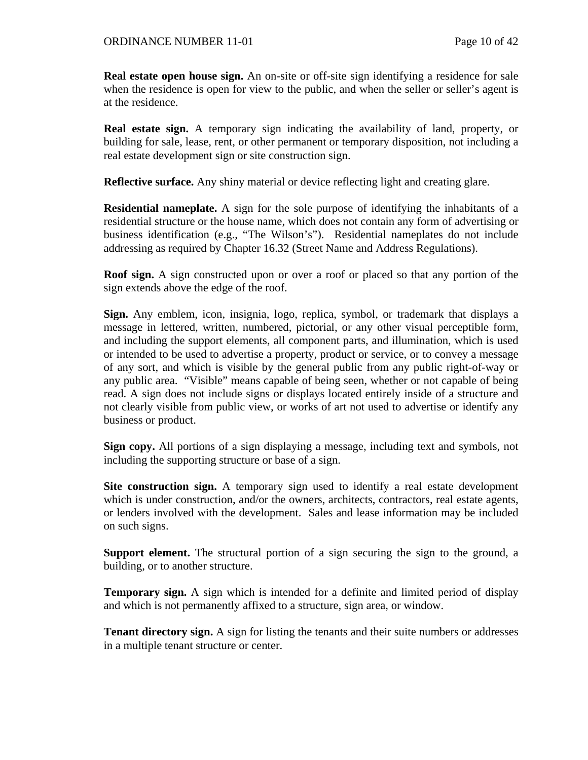**Real estate open house sign.** An on-site or off-site sign identifying a residence for sale when the residence is open for view to the public, and when the seller or seller's agent is at the residence.

**Real estate sign.** A temporary sign indicating the availability of land, property, or building for sale, lease, rent, or other permanent or temporary disposition, not including a real estate development sign or site construction sign.

**Reflective surface.** Any shiny material or device reflecting light and creating glare.

**Residential nameplate.** A sign for the sole purpose of identifying the inhabitants of a residential structure or the house name, which does not contain any form of advertising or business identification (e.g., "The Wilson's"). Residential nameplates do not include addressing as required by Chapter 16.32 (Street Name and Address Regulations).

**Roof sign.** A sign constructed upon or over a roof or placed so that any portion of the sign extends above the edge of the roof.

**Sign.** Any emblem, icon, insignia, logo, replica, symbol, or trademark that displays a message in lettered, written, numbered, pictorial, or any other visual perceptible form, and including the support elements, all component parts, and illumination, which is used or intended to be used to advertise a property, product or service, or to convey a message of any sort, and which is visible by the general public from any public right-of-way or any public area. "Visible" means capable of being seen, whether or not capable of being read. A sign does not include signs or displays located entirely inside of a structure and not clearly visible from public view, or works of art not used to advertise or identify any business or product.

**Sign copy.** All portions of a sign displaying a message, including text and symbols, not including the supporting structure or base of a sign.

**Site construction sign.** A temporary sign used to identify a real estate development which is under construction, and/or the owners, architects, contractors, real estate agents, or lenders involved with the development. Sales and lease information may be included on such signs.

**Support element.** The structural portion of a sign securing the sign to the ground, a building, or to another structure.

**Temporary sign.** A sign which is intended for a definite and limited period of display and which is not permanently affixed to a structure, sign area, or window.

**Tenant directory sign.** A sign for listing the tenants and their suite numbers or addresses in a multiple tenant structure or center.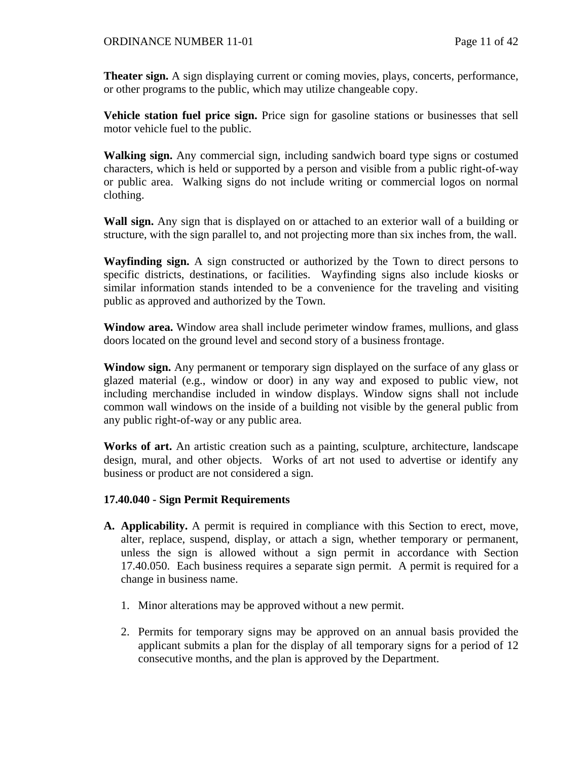**Theater sign.** A sign displaying current or coming movies, plays, concerts, performance, or other programs to the public, which may utilize changeable copy.

**Vehicle station fuel price sign.** Price sign for gasoline stations or businesses that sell motor vehicle fuel to the public.

**Walking sign.** Any commercial sign, including sandwich board type signs or costumed characters, which is held or supported by a person and visible from a public right-of-way or public area. Walking signs do not include writing or commercial logos on normal clothing.

**Wall sign.** Any sign that is displayed on or attached to an exterior wall of a building or structure, with the sign parallel to, and not projecting more than six inches from, the wall.

**Wayfinding sign.** A sign constructed or authorized by the Town to direct persons to specific districts, destinations, or facilities. Wayfinding signs also include kiosks or similar information stands intended to be a convenience for the traveling and visiting public as approved and authorized by the Town.

**Window area.** Window area shall include perimeter window frames, mullions, and glass doors located on the ground level and second story of a business frontage.

**Window sign.** Any permanent or temporary sign displayed on the surface of any glass or glazed material (e.g., window or door) in any way and exposed to public view, not including merchandise included in window displays. Window signs shall not include common wall windows on the inside of a building not visible by the general public from any public right-of-way or any public area.

**Works of art.** An artistic creation such as a painting, sculpture, architecture, landscape design, mural, and other objects. Works of art not used to advertise or identify any business or product are not considered a sign.

## **17.40.040 - Sign Permit Requirements**

- **A. Applicability.** A permit is required in compliance with this Section to erect, move, alter, replace, suspend, display, or attach a sign, whether temporary or permanent, unless the sign is allowed without a sign permit in accordance with Section 17.40.050. Each business requires a separate sign permit. A permit is required for a change in business name.
	- 1. Minor alterations may be approved without a new permit.
	- 2. Permits for temporary signs may be approved on an annual basis provided the applicant submits a plan for the display of all temporary signs for a period of 12 consecutive months, and the plan is approved by the Department.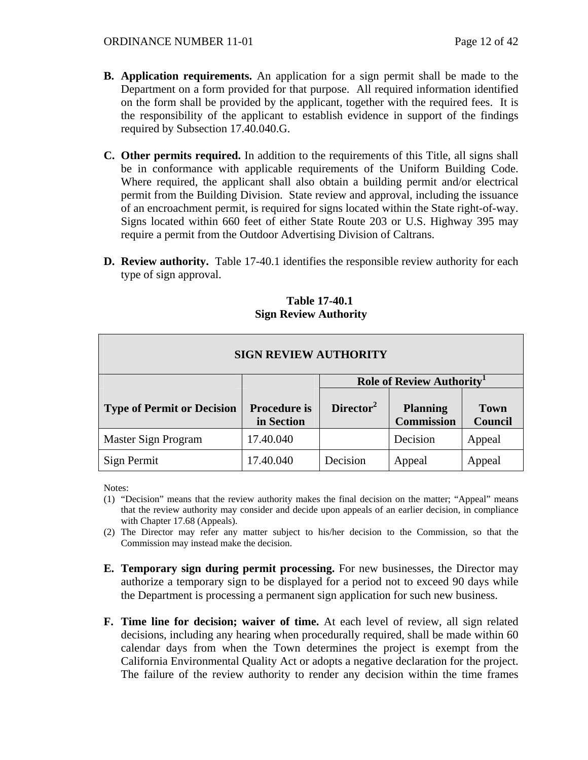- **B. Application requirements.** An application for a sign permit shall be made to the Department on a form provided for that purpose. All required information identified on the form shall be provided by the applicant, together with the required fees. It is the responsibility of the applicant to establish evidence in support of the findings required by Subsection 17.40.040.G.
- **C. Other permits required.** In addition to the requirements of this Title, all signs shall be in conformance with applicable requirements of the Uniform Building Code. Where required, the applicant shall also obtain a building permit and/or electrical permit from the Building Division. State review and approval, including the issuance of an encroachment permit, is required for signs located within the State right-of-way. Signs located within 660 feet of either State Route 203 or U.S. Highway 395 may require a permit from the Outdoor Advertising Division of Caltrans.
- **D. Review authority.** Table 17-40.1 identifies the responsible review authority for each type of sign approval.

| <b>SIGN REVIEW AUTHORITY</b>      |                                   |                                 |                                      |                        |  |  |  |  |
|-----------------------------------|-----------------------------------|---------------------------------|--------------------------------------|------------------------|--|--|--|--|
|                                   |                                   | <b>Role of Review Authority</b> |                                      |                        |  |  |  |  |
| <b>Type of Permit or Decision</b> | <b>Procedure is</b><br>in Section | Director <sup>2</sup>           | <b>Planning</b><br><b>Commission</b> | <b>Town</b><br>Council |  |  |  |  |
| Master Sign Program               | 17.40.040                         |                                 | Decision                             | Appeal                 |  |  |  |  |
| Sign Permit                       | 17.40.040                         | Decision                        | Appeal                               | Appeal                 |  |  |  |  |

#### **Table 17-40.1 Sign Review Authority**

Notes:

- (1) "Decision" means that the review authority makes the final decision on the matter; "Appeal" means that the review authority may consider and decide upon appeals of an earlier decision, in compliance with Chapter 17.68 (Appeals).
- (2) The Director may refer any matter subject to his/her decision to the Commission, so that the Commission may instead make the decision.
- **E. Temporary sign during permit processing.** For new businesses, the Director may authorize a temporary sign to be displayed for a period not to exceed 90 days while the Department is processing a permanent sign application for such new business.
- **F. Time line for decision; waiver of time.** At each level of review, all sign related decisions, including any hearing when procedurally required, shall be made within 60 calendar days from when the Town determines the project is exempt from the California Environmental Quality Act or adopts a negative declaration for the project. The failure of the review authority to render any decision within the time frames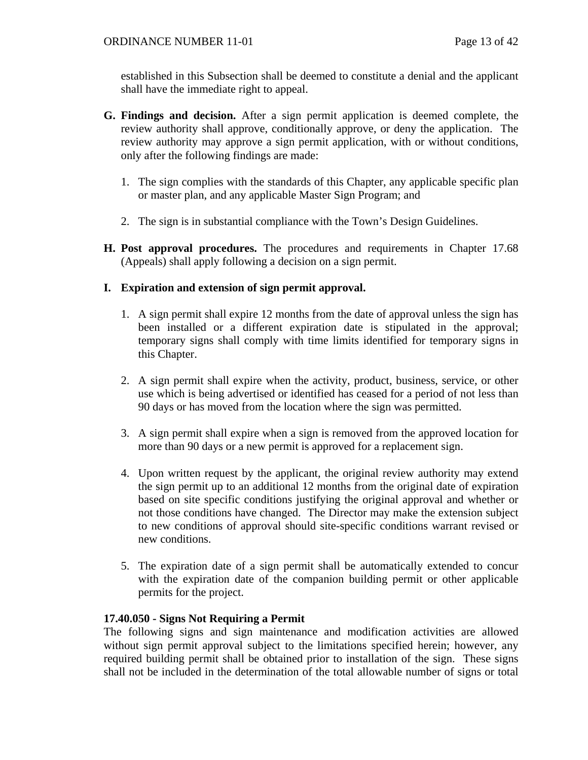established in this Subsection shall be deemed to constitute a denial and the applicant shall have the immediate right to appeal.

- **G. Findings and decision.** After a sign permit application is deemed complete, the review authority shall approve, conditionally approve, or deny the application. The review authority may approve a sign permit application, with or without conditions, only after the following findings are made:
	- 1. The sign complies with the standards of this Chapter, any applicable specific plan or master plan, and any applicable Master Sign Program; and
	- 2. The sign is in substantial compliance with the Town's Design Guidelines.
- **H. Post approval procedures.** The procedures and requirements in Chapter 17.68 (Appeals) shall apply following a decision on a sign permit.

## **I. Expiration and extension of sign permit approval.**

- 1. A sign permit shall expire 12 months from the date of approval unless the sign has been installed or a different expiration date is stipulated in the approval; temporary signs shall comply with time limits identified for temporary signs in this Chapter.
- 2. A sign permit shall expire when the activity, product, business, service, or other use which is being advertised or identified has ceased for a period of not less than 90 days or has moved from the location where the sign was permitted.
- 3. A sign permit shall expire when a sign is removed from the approved location for more than 90 days or a new permit is approved for a replacement sign.
- 4. Upon written request by the applicant, the original review authority may extend the sign permit up to an additional 12 months from the original date of expiration based on site specific conditions justifying the original approval and whether or not those conditions have changed. The Director may make the extension subject to new conditions of approval should site-specific conditions warrant revised or new conditions.
- 5. The expiration date of a sign permit shall be automatically extended to concur with the expiration date of the companion building permit or other applicable permits for the project.

## **17.40.050 - Signs Not Requiring a Permit**

The following signs and sign maintenance and modification activities are allowed without sign permit approval subject to the limitations specified herein; however, any required building permit shall be obtained prior to installation of the sign. These signs shall not be included in the determination of the total allowable number of signs or total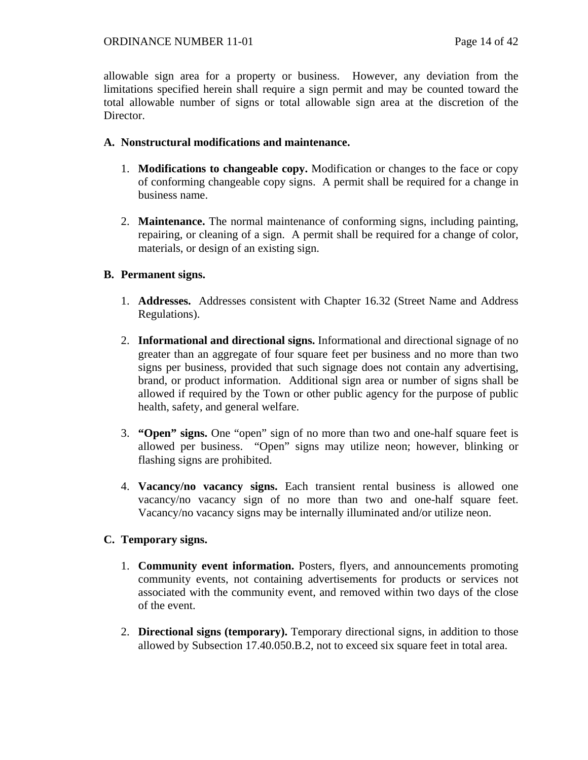allowable sign area for a property or business. However, any deviation from the limitations specified herein shall require a sign permit and may be counted toward the total allowable number of signs or total allowable sign area at the discretion of the Director.

## **A. Nonstructural modifications and maintenance.**

- 1. **Modifications to changeable copy.** Modification or changes to the face or copy of conforming changeable copy signs. A permit shall be required for a change in business name.
- 2. **Maintenance.** The normal maintenance of conforming signs, including painting, repairing, or cleaning of a sign. A permit shall be required for a change of color, materials, or design of an existing sign.

## **B. Permanent signs.**

- 1. **Addresses.** Addresses consistent with Chapter 16.32 (Street Name and Address Regulations).
- 2. **Informational and directional signs.** Informational and directional signage of no greater than an aggregate of four square feet per business and no more than two signs per business, provided that such signage does not contain any advertising, brand, or product information. Additional sign area or number of signs shall be allowed if required by the Town or other public agency for the purpose of public health, safety, and general welfare.
- 3. **"Open" signs.** One "open" sign of no more than two and one-half square feet is allowed per business. "Open" signs may utilize neon; however, blinking or flashing signs are prohibited.
- 4. **Vacancy/no vacancy signs.** Each transient rental business is allowed one vacancy/no vacancy sign of no more than two and one-half square feet. Vacancy/no vacancy signs may be internally illuminated and/or utilize neon.

# **C. Temporary signs.**

- 1. **Community event information.** Posters, flyers, and announcements promoting community events, not containing advertisements for products or services not associated with the community event, and removed within two days of the close of the event.
- 2. **Directional signs (temporary).** Temporary directional signs, in addition to those allowed by Subsection 17.40.050.B.2, not to exceed six square feet in total area.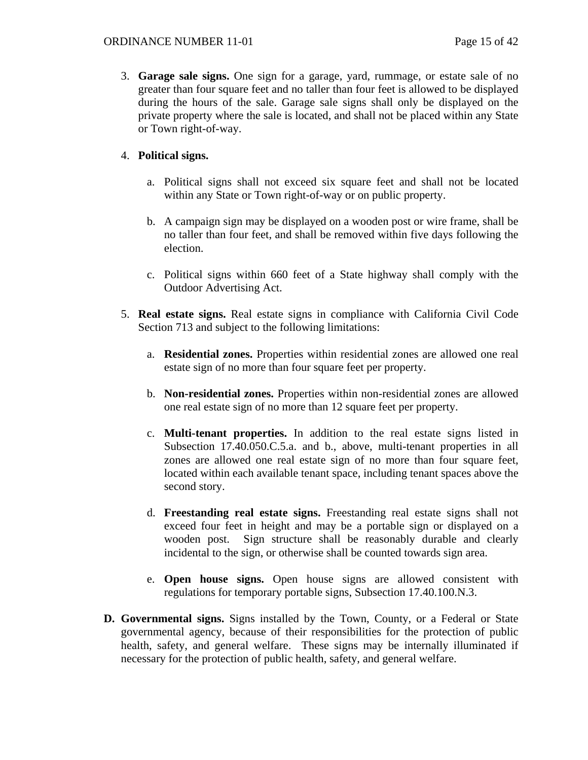3. **Garage sale signs.** One sign for a garage, yard, rummage, or estate sale of no greater than four square feet and no taller than four feet is allowed to be displayed during the hours of the sale. Garage sale signs shall only be displayed on the private property where the sale is located, and shall not be placed within any State or Town right-of-way.

# 4. **Political signs.**

- a. Political signs shall not exceed six square feet and shall not be located within any State or Town right-of-way or on public property.
- b. A campaign sign may be displayed on a wooden post or wire frame, shall be no taller than four feet, and shall be removed within five days following the election.
- c. Political signs within 660 feet of a State highway shall comply with the Outdoor Advertising Act.
- 5. **Real estate signs.** Real estate signs in compliance with California Civil Code Section 713 and subject to the following limitations:
	- a. **Residential zones.** Properties within residential zones are allowed one real estate sign of no more than four square feet per property.
	- b. **Non-residential zones.** Properties within non-residential zones are allowed one real estate sign of no more than 12 square feet per property.
	- c. **Multi-tenant properties.** In addition to the real estate signs listed in Subsection 17.40.050.C.5.a. and b., above, multi-tenant properties in all zones are allowed one real estate sign of no more than four square feet, located within each available tenant space, including tenant spaces above the second story.
	- d. **Freestanding real estate signs.** Freestanding real estate signs shall not exceed four feet in height and may be a portable sign or displayed on a wooden post. Sign structure shall be reasonably durable and clearly incidental to the sign, or otherwise shall be counted towards sign area.
	- e. **Open house signs.** Open house signs are allowed consistent with regulations for temporary portable signs, Subsection 17.40.100.N.3.
- **D. Governmental signs.** Signs installed by the Town, County, or a Federal or State governmental agency, because of their responsibilities for the protection of public health, safety, and general welfare. These signs may be internally illuminated if necessary for the protection of public health, safety, and general welfare.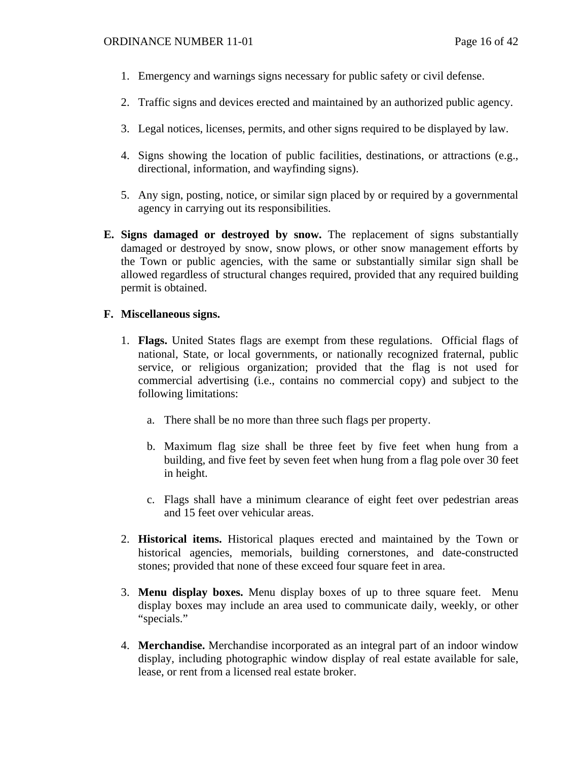- 1. Emergency and warnings signs necessary for public safety or civil defense.
- 2. Traffic signs and devices erected and maintained by an authorized public agency.
- 3. Legal notices, licenses, permits, and other signs required to be displayed by law.
- 4. Signs showing the location of public facilities, destinations, or attractions (e.g., directional, information, and wayfinding signs).
- 5. Any sign, posting, notice, or similar sign placed by or required by a governmental agency in carrying out its responsibilities.
- **E. Signs damaged or destroyed by snow.** The replacement of signs substantially damaged or destroyed by snow, snow plows, or other snow management efforts by the Town or public agencies, with the same or substantially similar sign shall be allowed regardless of structural changes required, provided that any required building permit is obtained.

# **F. Miscellaneous signs.**

- 1. **Flags.** United States flags are exempt from these regulations. Official flags of national, State, or local governments, or nationally recognized fraternal, public service, or religious organization; provided that the flag is not used for commercial advertising (i.e., contains no commercial copy) and subject to the following limitations:
	- a. There shall be no more than three such flags per property.
	- b. Maximum flag size shall be three feet by five feet when hung from a building, and five feet by seven feet when hung from a flag pole over 30 feet in height.
	- c. Flags shall have a minimum clearance of eight feet over pedestrian areas and 15 feet over vehicular areas.
- 2. **Historical items.** Historical plaques erected and maintained by the Town or historical agencies, memorials, building cornerstones, and date-constructed stones; provided that none of these exceed four square feet in area.
- 3. **Menu display boxes.** Menu display boxes of up to three square feet. Menu display boxes may include an area used to communicate daily, weekly, or other "specials."
- 4. **Merchandise.** Merchandise incorporated as an integral part of an indoor window display, including photographic window display of real estate available for sale, lease, or rent from a licensed real estate broker.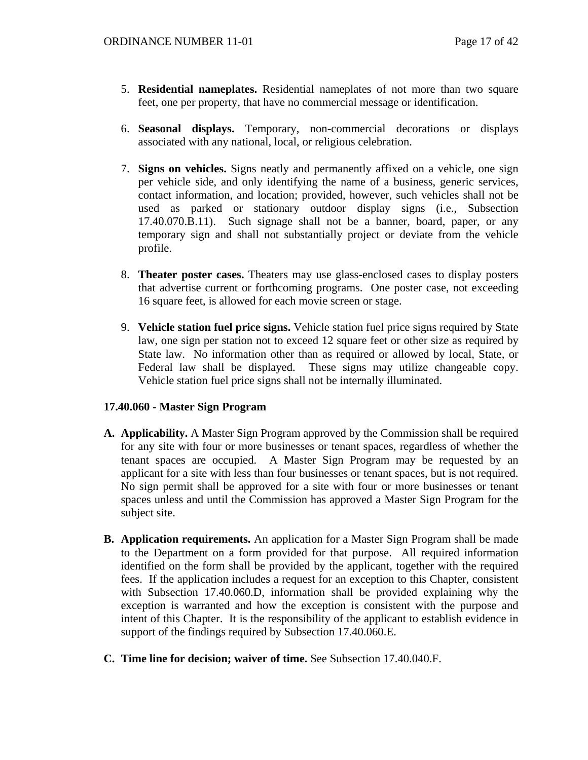- 5. **Residential nameplates.** Residential nameplates of not more than two square feet, one per property, that have no commercial message or identification.
- 6. **Seasonal displays.** Temporary, non-commercial decorations or displays associated with any national, local, or religious celebration.
- 7. **Signs on vehicles.** Signs neatly and permanently affixed on a vehicle, one sign per vehicle side, and only identifying the name of a business, generic services, contact information, and location; provided, however, such vehicles shall not be used as parked or stationary outdoor display signs (i.e., Subsection 17.40.070.B.11). Such signage shall not be a banner, board, paper, or any temporary sign and shall not substantially project or deviate from the vehicle profile.
- 8. **Theater poster cases.** Theaters may use glass-enclosed cases to display posters that advertise current or forthcoming programs. One poster case, not exceeding 16 square feet, is allowed for each movie screen or stage.
- 9. **Vehicle station fuel price signs.** Vehicle station fuel price signs required by State law, one sign per station not to exceed 12 square feet or other size as required by State law. No information other than as required or allowed by local, State, or Federal law shall be displayed. These signs may utilize changeable copy. Vehicle station fuel price signs shall not be internally illuminated.

## **17.40.060 - Master Sign Program**

- **A. Applicability.** A Master Sign Program approved by the Commission shall be required for any site with four or more businesses or tenant spaces, regardless of whether the tenant spaces are occupied. A Master Sign Program may be requested by an applicant for a site with less than four businesses or tenant spaces, but is not required. No sign permit shall be approved for a site with four or more businesses or tenant spaces unless and until the Commission has approved a Master Sign Program for the subject site.
- **B. Application requirements.** An application for a Master Sign Program shall be made to the Department on a form provided for that purpose. All required information identified on the form shall be provided by the applicant, together with the required fees. If the application includes a request for an exception to this Chapter, consistent with Subsection 17.40.060.D, information shall be provided explaining why the exception is warranted and how the exception is consistent with the purpose and intent of this Chapter. It is the responsibility of the applicant to establish evidence in support of the findings required by Subsection 17.40.060.E.
- **C. Time line for decision; waiver of time.** See Subsection 17.40.040.F.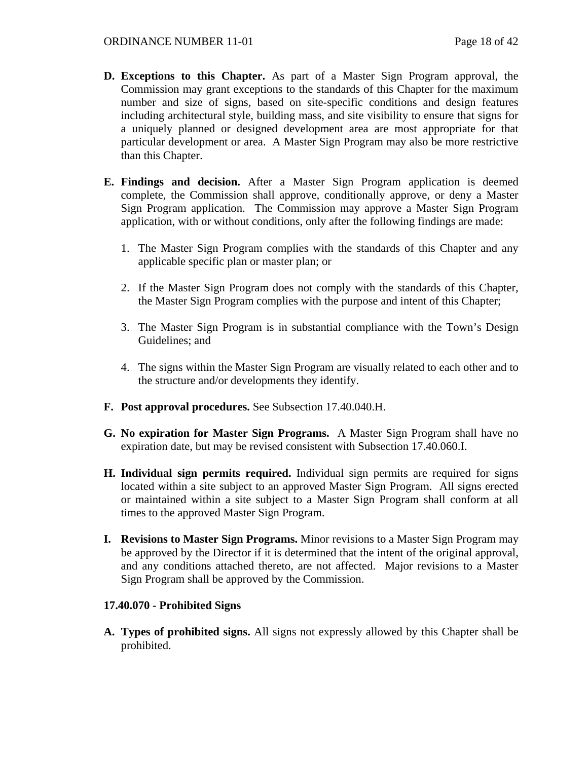- **D. Exceptions to this Chapter.** As part of a Master Sign Program approval, the Commission may grant exceptions to the standards of this Chapter for the maximum number and size of signs, based on site-specific conditions and design features including architectural style, building mass, and site visibility to ensure that signs for a uniquely planned or designed development area are most appropriate for that particular development or area. A Master Sign Program may also be more restrictive than this Chapter.
- **E. Findings and decision.** After a Master Sign Program application is deemed complete, the Commission shall approve, conditionally approve, or deny a Master Sign Program application. The Commission may approve a Master Sign Program application, with or without conditions, only after the following findings are made:
	- 1. The Master Sign Program complies with the standards of this Chapter and any applicable specific plan or master plan; or
	- 2. If the Master Sign Program does not comply with the standards of this Chapter, the Master Sign Program complies with the purpose and intent of this Chapter;
	- 3. The Master Sign Program is in substantial compliance with the Town's Design Guidelines; and
	- 4. The signs within the Master Sign Program are visually related to each other and to the structure and/or developments they identify.
- **F. Post approval procedures.** See Subsection 17.40.040.H.
- **G. No expiration for Master Sign Programs.** A Master Sign Program shall have no expiration date, but may be revised consistent with Subsection 17.40.060.I.
- **H. Individual sign permits required.** Individual sign permits are required for signs located within a site subject to an approved Master Sign Program. All signs erected or maintained within a site subject to a Master Sign Program shall conform at all times to the approved Master Sign Program.
- **I. Revisions to Master Sign Programs.** Minor revisions to a Master Sign Program may be approved by the Director if it is determined that the intent of the original approval, and any conditions attached thereto, are not affected. Major revisions to a Master Sign Program shall be approved by the Commission.

## **17.40.070 - Prohibited Signs**

**A. Types of prohibited signs.** All signs not expressly allowed by this Chapter shall be prohibited.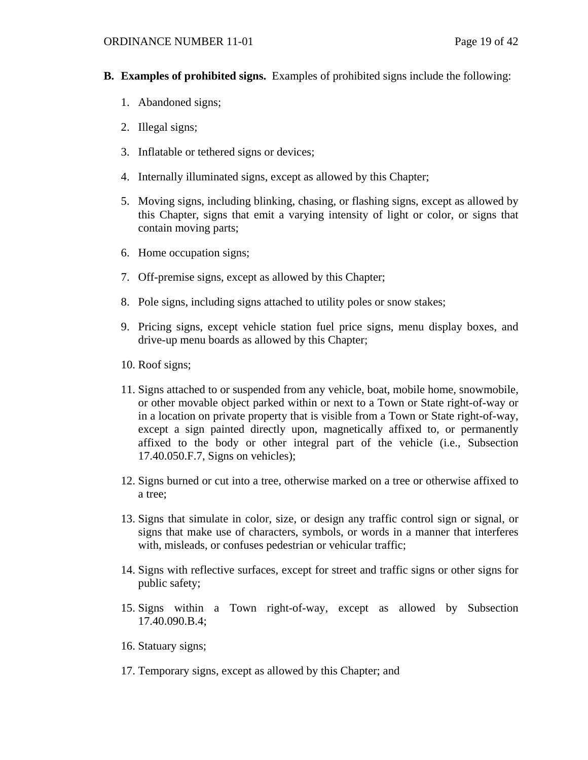- **B. Examples of prohibited signs.** Examples of prohibited signs include the following:
	- 1. Abandoned signs;
	- 2. Illegal signs;
	- 3. Inflatable or tethered signs or devices;
	- 4. Internally illuminated signs, except as allowed by this Chapter;
	- 5. Moving signs, including blinking, chasing, or flashing signs, except as allowed by this Chapter, signs that emit a varying intensity of light or color, or signs that contain moving parts;
	- 6. Home occupation signs;
	- 7. Off-premise signs, except as allowed by this Chapter;
	- 8. Pole signs, including signs attached to utility poles or snow stakes;
	- 9. Pricing signs, except vehicle station fuel price signs, menu display boxes, and drive-up menu boards as allowed by this Chapter;
	- 10. Roof signs;
	- 11. Signs attached to or suspended from any vehicle, boat, mobile home, snowmobile, or other movable object parked within or next to a Town or State right-of-way or in a location on private property that is visible from a Town or State right-of-way, except a sign painted directly upon, magnetically affixed to, or permanently affixed to the body or other integral part of the vehicle (i.e., Subsection 17.40.050.F.7, Signs on vehicles);
	- 12. Signs burned or cut into a tree, otherwise marked on a tree or otherwise affixed to a tree;
	- 13. Signs that simulate in color, size, or design any traffic control sign or signal, or signs that make use of characters, symbols, or words in a manner that interferes with, misleads, or confuses pedestrian or vehicular traffic;
	- 14. Signs with reflective surfaces, except for street and traffic signs or other signs for public safety;
	- 15. Signs within a Town right-of-way, except as allowed by Subsection 17.40.090.B.4;
	- 16. Statuary signs;
	- 17. Temporary signs, except as allowed by this Chapter; and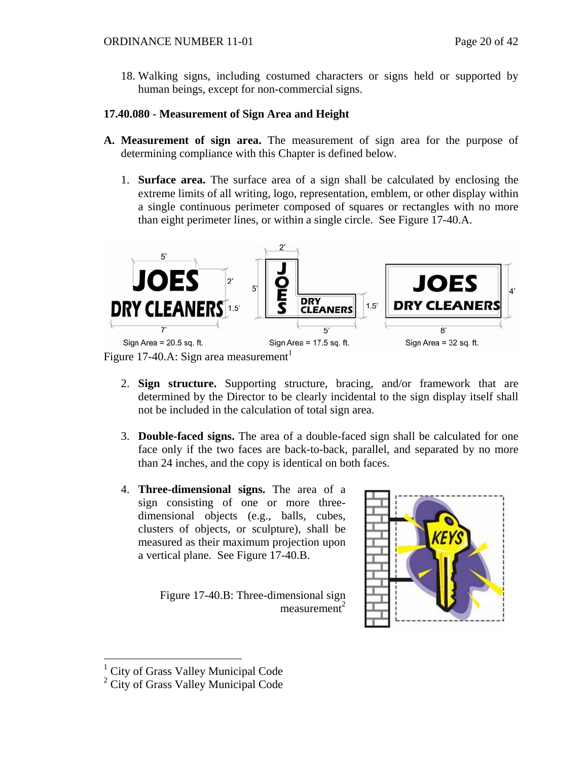18. Walking signs, including costumed characters or signs held or supported by human beings, except for non-commercial signs.

# **17.40.080 - Measurement of Sign Area and Height**

- **A. Measurement of sign area.** The measurement of sign area for the purpose of determining compliance with this Chapter is defined below.
	- 1. **Surface area.** The surface area of a sign shall be calculated by enclosing the extreme limits of all writing, logo, representation, emblem, or other display within a single continuous perimeter composed of squares or rectangles with no more than eight perimeter lines, or within a single circle. See Figure 17-40.A.



Figure [1](#page-19-0)7-40.A: Sign area measurement<sup>1</sup>

- 2. **Sign structure.** Supporting structure, bracing, and/or framework that are determined by the Director to be clearly incidental to the sign display itself shall not be included in the calculation of total sign area.
- 3. **Double-faced signs.** The area of a double-faced sign shall be calculated for one face only if the two faces are back-to-back, parallel, and separated by no more than 24 inches, and the copy is identical on both faces.
- 4. **Three-dimensional signs.** The area of a sign consisting of one or more threedimensional objects (e.g., balls, cubes, clusters of objects, or sculpture), shall be measured as their maximum projection upon a vertical plane. See Figure 17-40.B.

Figure 17-40.B: Three-dimensional sign  $measured$ 



<span id="page-19-0"></span> $\overline{a}$ 1 City of Grass Valley Municipal Code

<sup>2</sup> City of Grass Valley Municipal Code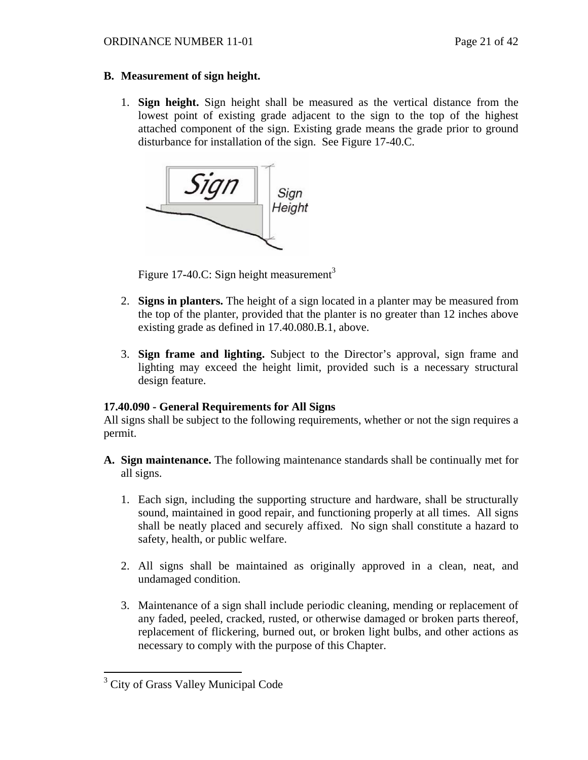## **B. Measurement of sign height.**

1. **Sign height.** Sign height shall be measured as the vertical distance from the lowest point of existing grade adjacent to the sign to the top of the highest attached component of the sign. Existing grade means the grade prior to ground disturbance for installation of the sign. See Figure 17-40.C.



Figure 17-40.C: Sign height measurement<sup>[3](#page-20-0)</sup>

- 2. **Signs in planters.** The height of a sign located in a planter may be measured from the top of the planter, provided that the planter is no greater than 12 inches above existing grade as defined in 17.40.080.B.1, above.
- 3. **Sign frame and lighting.** Subject to the Director's approval, sign frame and lighting may exceed the height limit, provided such is a necessary structural design feature.

# **17.40.090 - General Requirements for All Signs**

All signs shall be subject to the following requirements, whether or not the sign requires a permit.

- **A. Sign maintenance.** The following maintenance standards shall be continually met for all signs.
	- 1. Each sign, including the supporting structure and hardware, shall be structurally sound, maintained in good repair, and functioning properly at all times. All signs shall be neatly placed and securely affixed. No sign shall constitute a hazard to safety, health, or public welfare.
	- 2. All signs shall be maintained as originally approved in a clean, neat, and undamaged condition.
	- 3. Maintenance of a sign shall include periodic cleaning, mending or replacement of any faded, peeled, cracked, rusted, or otherwise damaged or broken parts thereof, replacement of flickering, burned out, or broken light bulbs, and other actions as necessary to comply with the purpose of this Chapter.

<span id="page-20-0"></span><sup>&</sup>lt;sup>3</sup> City of Grass Valley Municipal Code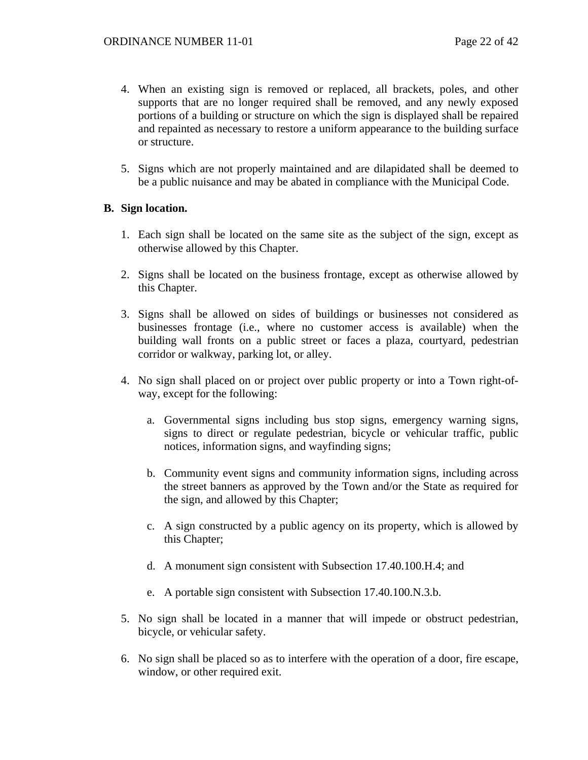- 4. When an existing sign is removed or replaced, all brackets, poles, and other supports that are no longer required shall be removed, and any newly exposed portions of a building or structure on which the sign is displayed shall be repaired and repainted as necessary to restore a uniform appearance to the building surface or structure.
- 5. Signs which are not properly maintained and are dilapidated shall be deemed to be a public nuisance and may be abated in compliance with the Municipal Code.

## **B. Sign location.**

- 1. Each sign shall be located on the same site as the subject of the sign, except as otherwise allowed by this Chapter.
- 2. Signs shall be located on the business frontage, except as otherwise allowed by this Chapter.
- 3. Signs shall be allowed on sides of buildings or businesses not considered as businesses frontage (i.e., where no customer access is available) when the building wall fronts on a public street or faces a plaza, courtyard, pedestrian corridor or walkway, parking lot, or alley.
- 4. No sign shall placed on or project over public property or into a Town right-ofway, except for the following:
	- a. Governmental signs including bus stop signs, emergency warning signs, signs to direct or regulate pedestrian, bicycle or vehicular traffic, public notices, information signs, and wayfinding signs;
	- b. Community event signs and community information signs, including across the street banners as approved by the Town and/or the State as required for the sign, and allowed by this Chapter;
	- c. A sign constructed by a public agency on its property, which is allowed by this Chapter;
	- d. A monument sign consistent with Subsection 17.40.100.H.4; and
	- e. A portable sign consistent with Subsection 17.40.100.N.3.b.
- 5. No sign shall be located in a manner that will impede or obstruct pedestrian, bicycle, or vehicular safety.
- 6. No sign shall be placed so as to interfere with the operation of a door, fire escape, window, or other required exit.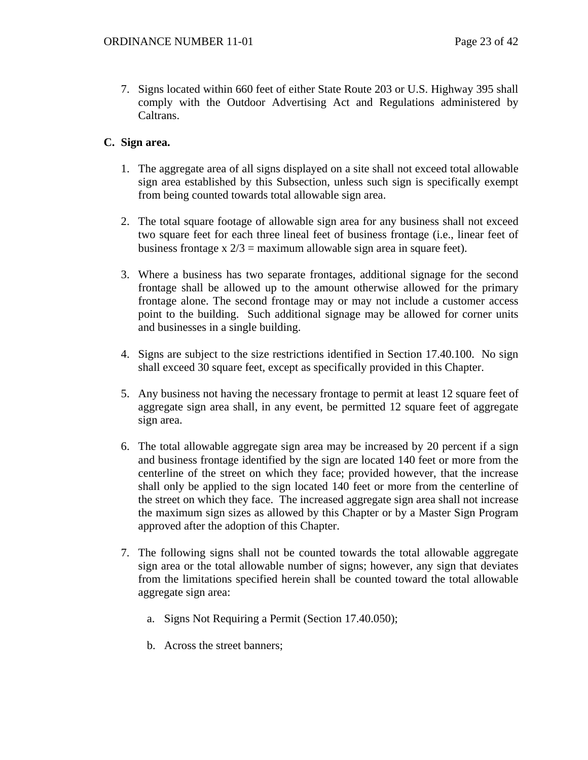7. Signs located within 660 feet of either State Route 203 or U.S. Highway 395 shall comply with the Outdoor Advertising Act and Regulations administered by Caltrans.

# **C. Sign area.**

- 1. The aggregate area of all signs displayed on a site shall not exceed total allowable sign area established by this Subsection, unless such sign is specifically exempt from being counted towards total allowable sign area.
- 2. The total square footage of allowable sign area for any business shall not exceed two square feet for each three lineal feet of business frontage (i.e., linear feet of business frontage x  $2/3$  = maximum allowable sign area in square feet).
- 3. Where a business has two separate frontages, additional signage for the second frontage shall be allowed up to the amount otherwise allowed for the primary frontage alone. The second frontage may or may not include a customer access point to the building. Such additional signage may be allowed for corner units and businesses in a single building.
- 4. Signs are subject to the size restrictions identified in Section 17.40.100. No sign shall exceed 30 square feet, except as specifically provided in this Chapter.
- 5. Any business not having the necessary frontage to permit at least 12 square feet of aggregate sign area shall, in any event, be permitted 12 square feet of aggregate sign area.
- 6. The total allowable aggregate sign area may be increased by 20 percent if a sign and business frontage identified by the sign are located 140 feet or more from the centerline of the street on which they face; provided however, that the increase shall only be applied to the sign located 140 feet or more from the centerline of the street on which they face. The increased aggregate sign area shall not increase the maximum sign sizes as allowed by this Chapter or by a Master Sign Program approved after the adoption of this Chapter.
- 7. The following signs shall not be counted towards the total allowable aggregate sign area or the total allowable number of signs; however, any sign that deviates from the limitations specified herein shall be counted toward the total allowable aggregate sign area:
	- a. Signs Not Requiring a Permit (Section 17.40.050);
	- b. Across the street banners;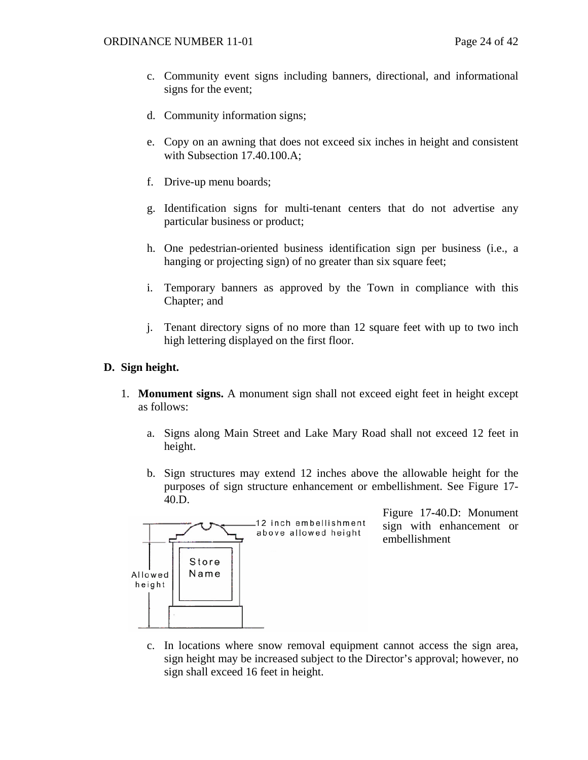- c. Community event signs including banners, directional, and informational signs for the event;
- d. Community information signs;
- e. Copy on an awning that does not exceed six inches in height and consistent with Subsection 17.40.100.A;
- f. Drive-up menu boards;
- g. Identification signs for multi-tenant centers that do not advertise any particular business or product;
- h. One pedestrian-oriented business identification sign per business (i.e., a hanging or projecting sign) of no greater than six square feet;
- i. Temporary banners as approved by the Town in compliance with this Chapter; and
- j. Tenant directory signs of no more than 12 square feet with up to two inch high lettering displayed on the first floor.

## **D. Sign height.**

- 1. **Monument signs.** A monument sign shall not exceed eight feet in height except as follows:
	- a. Signs along Main Street and Lake Mary Road shall not exceed 12 feet in height.
	- b. Sign structures may extend 12 inches above the allowable height for the purposes of sign structure enhancement or embellishment. See Figure 17- 40.D.



Figure 17**-**40.D: Monument sign with enhancement or embellishment

c. In locations where snow removal equipment cannot access the sign area, sign height may be increased subject to the Director's approval; however, no sign shall exceed 16 feet in height.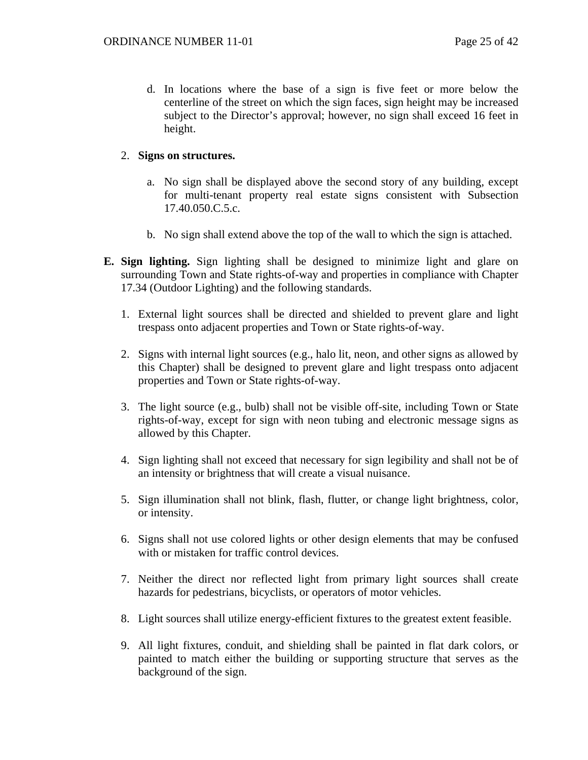d. In locations where the base of a sign is five feet or more below the centerline of the street on which the sign faces, sign height may be increased subject to the Director's approval; however, no sign shall exceed 16 feet in height.

## 2. **Signs on structures.**

- a. No sign shall be displayed above the second story of any building, except for multi-tenant property real estate signs consistent with Subsection 17.40.050.C.5.c.
- b. No sign shall extend above the top of the wall to which the sign is attached.
- **E. Sign lighting.** Sign lighting shall be designed to minimize light and glare on surrounding Town and State rights-of-way and properties in compliance with Chapter 17.34 (Outdoor Lighting) and the following standards.
	- 1. External light sources shall be directed and shielded to prevent glare and light trespass onto adjacent properties and Town or State rights-of-way.
	- 2. Signs with internal light sources (e.g., halo lit, neon, and other signs as allowed by this Chapter) shall be designed to prevent glare and light trespass onto adjacent properties and Town or State rights-of-way.
	- 3. The light source (e.g., bulb) shall not be visible off-site, including Town or State rights-of-way, except for sign with neon tubing and electronic message signs as allowed by this Chapter.
	- 4. Sign lighting shall not exceed that necessary for sign legibility and shall not be of an intensity or brightness that will create a visual nuisance.
	- 5. Sign illumination shall not blink, flash, flutter, or change light brightness, color, or intensity.
	- 6. Signs shall not use colored lights or other design elements that may be confused with or mistaken for traffic control devices.
	- 7. Neither the direct nor reflected light from primary light sources shall create hazards for pedestrians, bicyclists, or operators of motor vehicles.
	- 8. Light sources shall utilize energy-efficient fixtures to the greatest extent feasible.
	- 9. All light fixtures, conduit, and shielding shall be painted in flat dark colors, or painted to match either the building or supporting structure that serves as the background of the sign.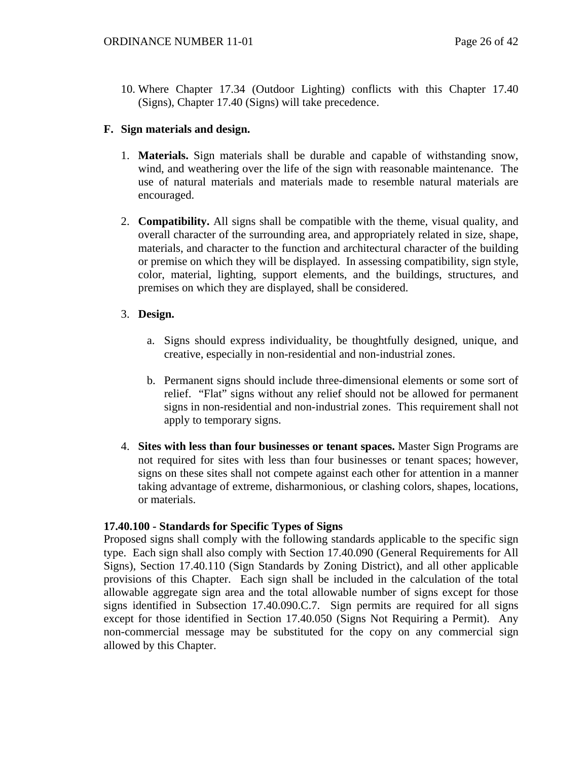10. Where Chapter 17.34 (Outdoor Lighting) conflicts with this Chapter 17.40 (Signs), Chapter 17.40 (Signs) will take precedence.

# **F. Sign materials and design.**

- 1. **Materials.** Sign materials shall be durable and capable of withstanding snow, wind, and weathering over the life of the sign with reasonable maintenance. The use of natural materials and materials made to resemble natural materials are encouraged.
- 2. **Compatibility.** All signs shall be compatible with the theme, visual quality, and overall character of the surrounding area, and appropriately related in size, shape, materials, and character to the function and architectural character of the building or premise on which they will be displayed. In assessing compatibility, sign style, color, material, lighting, support elements, and the buildings, structures, and premises on which they are displayed, shall be considered.

# 3. **Design.**

- a. Signs should express individuality, be thoughtfully designed, unique, and creative, especially in non-residential and non-industrial zones.
- b. Permanent signs should include three-dimensional elements or some sort of relief. "Flat" signs without any relief should not be allowed for permanent signs in non-residential and non-industrial zones. This requirement shall not apply to temporary signs.
- 4. **Sites with less than four businesses or tenant spaces.** Master Sign Programs are not required for sites with less than four businesses or tenant spaces; however, signs on these sites shall not compete against each other for attention in a manner taking advantage of extreme, disharmonious, or clashing colors, shapes, locations, or materials.

# **17.40.100 - Standards for Specific Types of Signs**

Proposed signs shall comply with the following standards applicable to the specific sign type. Each sign shall also comply with Section 17.40.090 (General Requirements for All Signs), Section 17.40.110 (Sign Standards by Zoning District), and all other applicable provisions of this Chapter. Each sign shall be included in the calculation of the total allowable aggregate sign area and the total allowable number of signs except for those signs identified in Subsection 17.40.090.C.7. Sign permits are required for all signs except for those identified in Section 17.40.050 (Signs Not Requiring a Permit). Any non-commercial message may be substituted for the copy on any commercial sign allowed by this Chapter.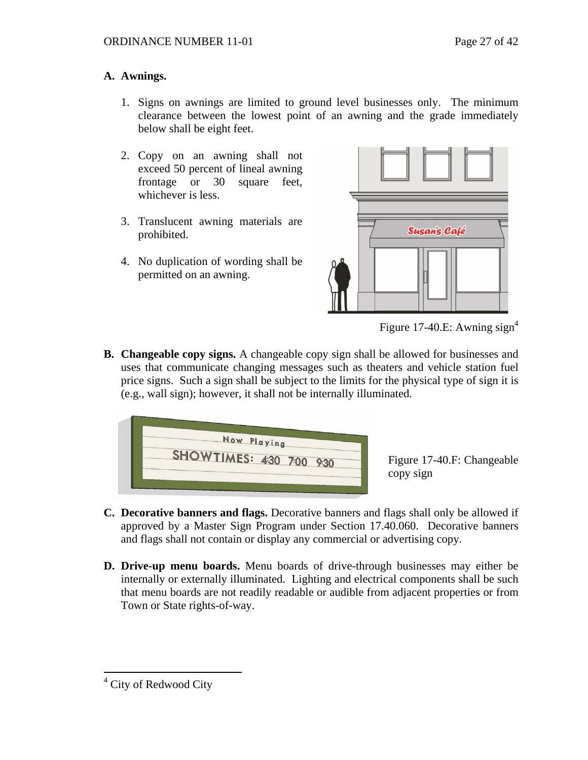# **A. Awnings.**

- 1. Signs on awnings are limited to ground level businesses only. The minimum clearance between the lowest point of an awning and the grade immediately below shall be eight feet.
- 2. Copy on an awning shall not exceed 50 percent of lineal awning frontage or 30 square feet, whichever is less.
- 3. Translucent awning materials are prohibited.
- 4. No duplication of wording shall be permitted on an awning.



Figure 17-[4](#page-26-0)0.E: Awning sign<sup>4</sup>

**B. Changeable copy signs.** A changeable copy sign shall be allowed for businesses and uses that communicate changing messages such as theaters and vehicle station fuel price signs. Such a sign shall be subject to the limits for the physical type of sign it is (e.g., wall sign); however, it shall not be internally illuminated.



Figure 17-40.F: Changeable copy sign

- **C. Decorative banners and flags.** Decorative banners and flags shall only be allowed if approved by a Master Sign Program under Section 17.40.060. Decorative banners and flags shall not contain or display any commercial or advertising copy.
- **D. Drive-up menu boards.** Menu boards of drive-through businesses may either be internally or externally illuminated. Lighting and electrical components shall be such that menu boards are not readily readable or audible from adjacent properties or from Town or State rights-of-way.

<span id="page-26-0"></span> 4 City of Redwood City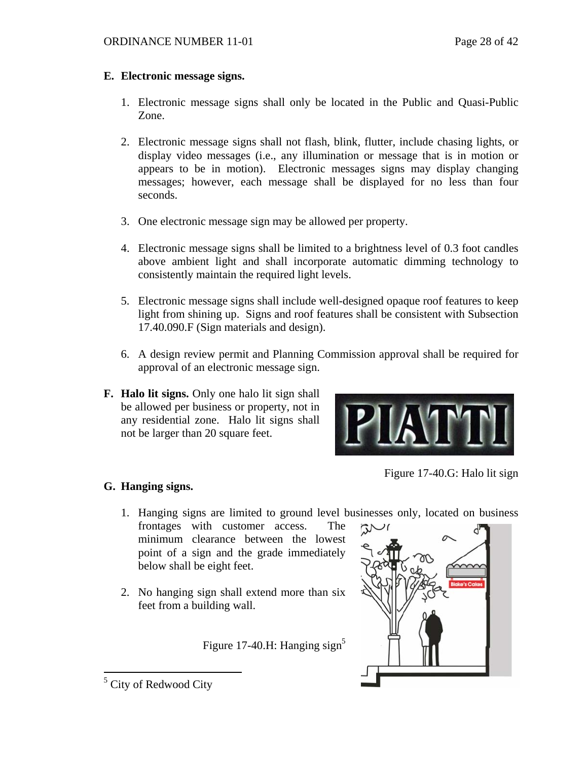## **E. Electronic message signs.**

- 1. Electronic message signs shall only be located in the Public and Quasi-Public Zone.
- 2. Electronic message signs shall not flash, blink, flutter, include chasing lights, or display video messages (i.e., any illumination or message that is in motion or appears to be in motion). Electronic messages signs may display changing messages; however, each message shall be displayed for no less than four seconds.
- 3. One electronic message sign may be allowed per property.
- 4. Electronic message signs shall be limited to a brightness level of 0.3 foot candles above ambient light and shall incorporate automatic dimming technology to consistently maintain the required light levels.
- 5. Electronic message signs shall include well-designed opaque roof features to keep light from shining up. Signs and roof features shall be consistent with Subsection 17.40.090.F (Sign materials and design).
- 6. A design review permit and Planning Commission approval shall be required for approval of an electronic message sign.
- **F. Halo lit signs.** Only one halo lit sign shall be allowed per business or property, not in any residential zone.Halo lit signs shall not be larger than 20 square feet.



Figure 17-40.G: Halo lit sign

# **G. Hanging signs.**

- 1. Hanging signs are limited to ground level businesses only, located on business
- frontages with customer access. The minimum clearance between the lowest point of a sign and the grade immediately below shall be eight feet.
- 2. No hanging sign shall extend more than six feet from a building wall.

Figure 17-40.H: Hanging sign<sup>5</sup>



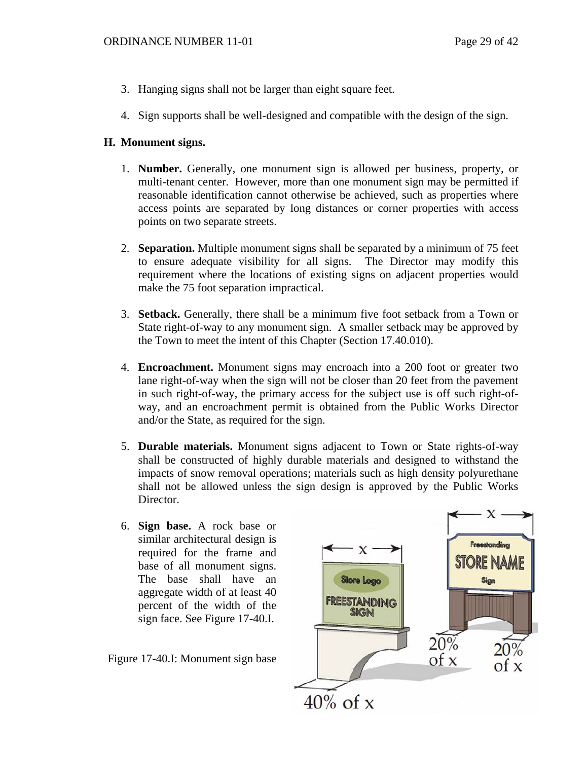- 3. Hanging signs shall not be larger than eight square feet.
- 4. Sign supports shall be well-designed and compatible with the design of the sign.

## **H. Monument signs.**

- 1. **Number.** Generally, one monument sign is allowed per business, property, or multi-tenant center. However, more than one monument sign may be permitted if reasonable identification cannot otherwise be achieved, such as properties where access points are separated by long distances or corner properties with access points on two separate streets.
- 2. **Separation.** Multiple monument signs shall be separated by a minimum of 75 feet to ensure adequate visibility for all signs. The Director may modify this requirement where the locations of existing signs on adjacent properties would make the 75 foot separation impractical.
- 3. **Setback.** Generally, there shall be a minimum five foot setback from a Town or State right-of-way to any monument sign. A smaller setback may be approved by the Town to meet the intent of this Chapter (Section 17.40.010).
- 4. **Encroachment.** Monument signs may encroach into a 200 foot or greater two lane right-of-way when the sign will not be closer than 20 feet from the pavement in such right-of-way, the primary access for the subject use is off such right-ofway, and an encroachment permit is obtained from the Public Works Director and/or the State, as required for the sign.
- 5. **Durable materials.** Monument signs adjacent to Town or State rights-of-way shall be constructed of highly durable materials and designed to withstand the impacts of snow removal operations; materials such as high density polyurethane shall not be allowed unless the sign design is approved by the Public Works Director.
- 6. **Sign base.** A rock base or similar architectural design is required for the frame and base of all monument signs. The base shall have an aggregate width of at least 40 percent of the width of the sign face. See Figure 17-40.I.

Figure 17-40.I: Monument sign base

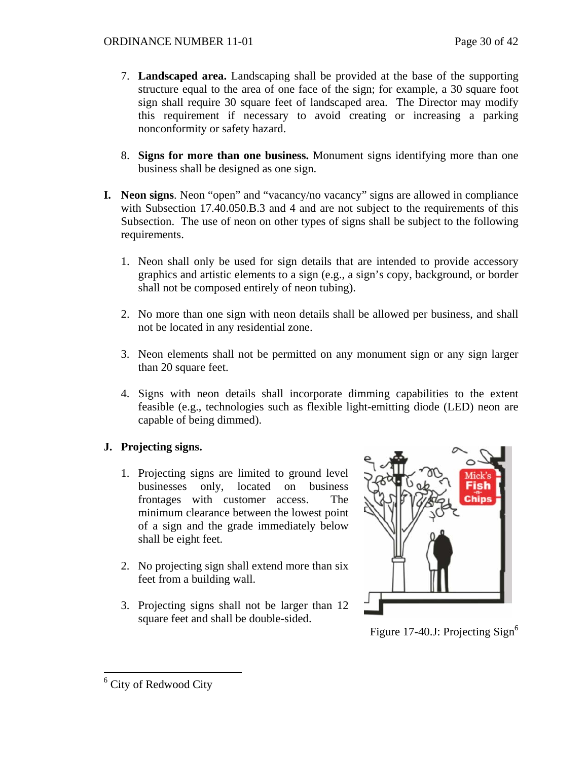- 7. **Landscaped area.** Landscaping shall be provided at the base of the supporting structure equal to the area of one face of the sign; for example, a 30 square foot sign shall require 30 square feet of landscaped area. The Director may modify this requirement if necessary to avoid creating or increasing a parking nonconformity or safety hazard.
- 8. **Signs for more than one business.** Monument signs identifying more than one business shall be designed as one sign.
- **I. Neon signs**. Neon "open" and "vacancy/no vacancy" signs are allowed in compliance with Subsection 17.40.050.B.3 and 4 and are not subject to the requirements of this Subsection. The use of neon on other types of signs shall be subject to the following requirements.
	- 1. Neon shall only be used for sign details that are intended to provide accessory graphics and artistic elements to a sign (e.g., a sign's copy, background, or border shall not be composed entirely of neon tubing).
	- 2. No more than one sign with neon details shall be allowed per business, and shall not be located in any residential zone.
	- 3. Neon elements shall not be permitted on any monument sign or any sign larger than 20 square feet.
	- 4. Signs with neon details shall incorporate dimming capabilities to the extent feasible (e.g., technologies such as flexible light-emitting diode (LED) neon are capable of being dimmed).

# **J. Projecting signs.**

- 1. Projecting signs are limited to ground level businesses only, located on business frontages with customer access. The minimum clearance between the lowest point of a sign and the grade immediately below shall be eight feet.
- 2. No projecting sign shall extend more than six feet from a building wall.
- 3. Projecting signs shall not be larger than 12 square feet and shall be double-sided.



Figure 17-40.J: Projecting Sign<sup>[6](#page-29-0)</sup>

<span id="page-29-0"></span><sup>&</sup>lt;sup>6</sup> City of Redwood City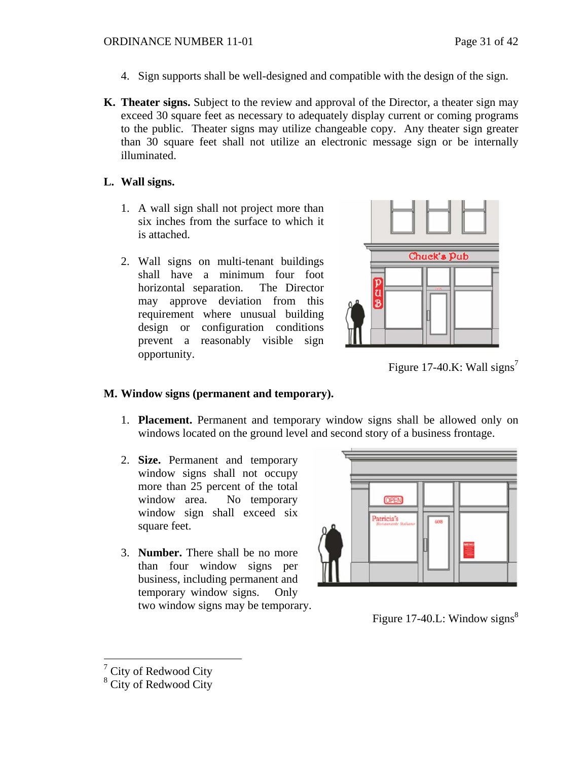- 4. Sign supports shall be well-designed and compatible with the design of the sign.
- **K. Theater signs.** Subject to the review and approval of the Director, a theater sign may exceed 30 square feet as necessary to adequately display current or coming programs to the public. Theater signs may utilize changeable copy. Any theater sign greater than 30 square feet shall not utilize an electronic message sign or be internally illuminated.

# **L. Wall signs.**

- 1. A wall sign shall not project more than six inches from the surface to which it is attached.
- 2. Wall signs on multi-tenant buildings shall have a minimum four foot horizontal separation. The Director may approve deviation from this requirement where unusual building design or configuration conditions prevent a reasonably visible sign opportunity.



Figure 1[7](#page-30-0)-40.K: Wall signs<sup>7</sup>

# **M. Window signs (permanent and temporary).**

- 1. **Placement.** Permanent and temporary window signs shall be allowed only on windows located on the ground level and second story of a business frontage.
- 2. **Size.** Permanent and temporary window signs shall not occupy more than 25 percent of the total window area. No temporary window sign shall exceed six square feet.
- 3. **Number.** There shall be no more than four window signs per business, including permanent and temporary window signs. Only two window signs may be temporary.



Figure 17-40.L: Window signs<sup>[8](#page-30-1)</sup>

<span id="page-30-0"></span> $\frac{1}{7}$  City of Redwood City

<span id="page-30-1"></span><sup>&</sup>lt;sup>8</sup> City of Redwood City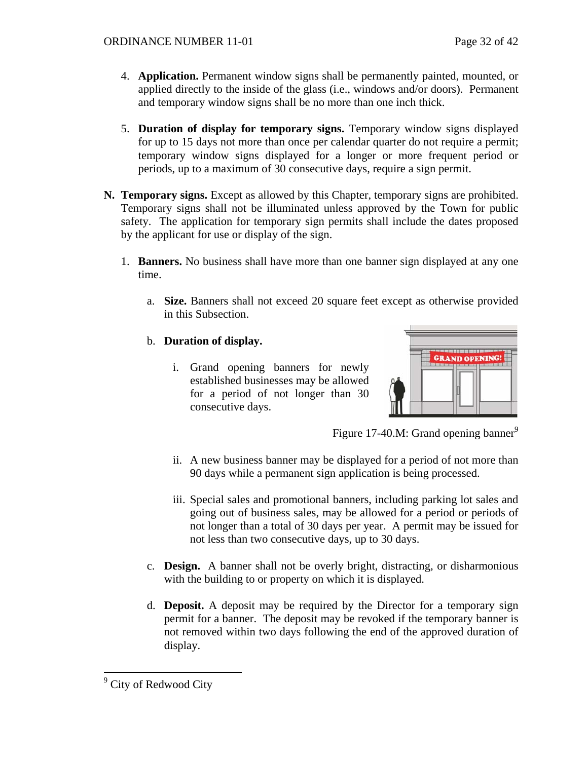- 4. **Application.** Permanent window signs shall be permanently painted, mounted, or applied directly to the inside of the glass (i.e., windows and/or doors). Permanent and temporary window signs shall be no more than one inch thick.
- 5. **Duration of display for temporary signs.** Temporary window signs displayed for up to 15 days not more than once per calendar quarter do not require a permit; temporary window signs displayed for a longer or more frequent period or periods, up to a maximum of 30 consecutive days, require a sign permit.
- **N. Temporary signs.** Except as allowed by this Chapter, temporary signs are prohibited. Temporary signs shall not be illuminated unless approved by the Town for public safety. The application for temporary sign permits shall include the dates proposed by the applicant for use or display of the sign.
	- 1. **Banners.** No business shall have more than one banner sign displayed at any one time.
		- a. **Size.** Banners shall not exceed 20 square feet except as otherwise provided in this Subsection.
		- b. **Duration of display.**
			- i. Grand opening banners for newly established businesses may be allowed for a period of not longer than 30 consecutive days.



Figure 17-40.M: Grand opening banner $^9$  $^9$ 

- ii. A new business banner may be displayed for a period of not more than 90 days while a permanent sign application is being processed.
- iii. Special sales and promotional banners, including parking lot sales and going out of business sales, may be allowed for a period or periods of not longer than a total of 30 days per year. A permit may be issued for not less than two consecutive days, up to 30 days.
- c. **Design.** A banner shall not be overly bright, distracting, or disharmonious with the building to or property on which it is displayed.
- d. **Deposit.** A deposit may be required by the Director for a temporary sign permit for a banner. The deposit may be revoked if the temporary banner is not removed within two days following the end of the approved duration of display.

 $\overline{a}$ 

<span id="page-31-0"></span><sup>&</sup>lt;sup>9</sup> City of Redwood City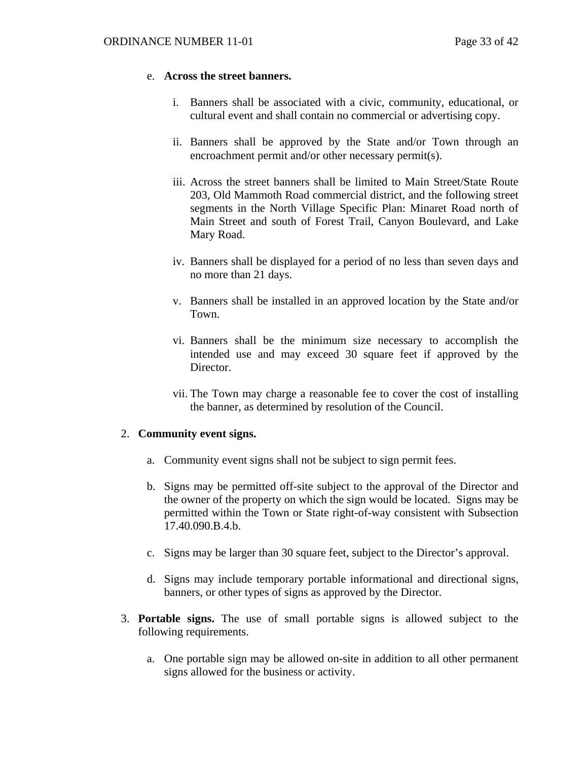#### e. **Across the street banners.**

- i. Banners shall be associated with a civic, community, educational, or cultural event and shall contain no commercial or advertising copy.
- ii. Banners shall be approved by the State and/or Town through an encroachment permit and/or other necessary permit(s).
- iii. Across the street banners shall be limited to Main Street/State Route 203, Old Mammoth Road commercial district, and the following street segments in the North Village Specific Plan: Minaret Road north of Main Street and south of Forest Trail, Canyon Boulevard, and Lake Mary Road.
- iv. Banners shall be displayed for a period of no less than seven days and no more than 21 days.
- v. Banners shall be installed in an approved location by the State and/or Town.
- vi. Banners shall be the minimum size necessary to accomplish the intended use and may exceed 30 square feet if approved by the Director.
- vii. The Town may charge a reasonable fee to cover the cost of installing the banner, as determined by resolution of the Council.

## 2. **Community event signs.**

- a. Community event signs shall not be subject to sign permit fees.
- b. Signs may be permitted off-site subject to the approval of the Director and the owner of the property on which the sign would be located. Signs may be permitted within the Town or State right-of-way consistent with Subsection 17.40.090.B.4.b.
- c. Signs may be larger than 30 square feet, subject to the Director's approval.
- d. Signs may include temporary portable informational and directional signs, banners, or other types of signs as approved by the Director.
- 3. **Portable signs.** The use of small portable signs is allowed subject to the following requirements.
	- a. One portable sign may be allowed on-site in addition to all other permanent signs allowed for the business or activity.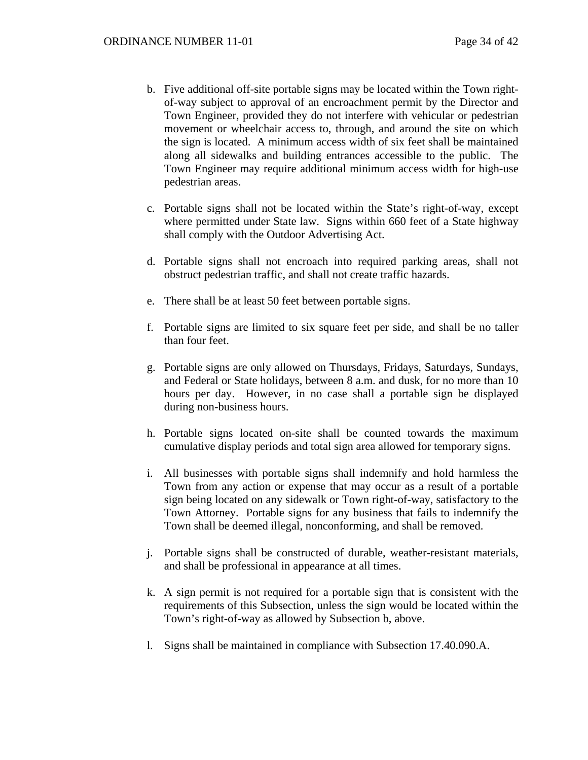- b. Five additional off-site portable signs may be located within the Town rightof-way subject to approval of an encroachment permit by the Director and Town Engineer, provided they do not interfere with vehicular or pedestrian movement or wheelchair access to, through, and around the site on which the sign is located. A minimum access width of six feet shall be maintained along all sidewalks and building entrances accessible to the public. The Town Engineer may require additional minimum access width for high-use pedestrian areas.
- c. Portable signs shall not be located within the State's right-of-way, except where permitted under State law. Signs within 660 feet of a State highway shall comply with the Outdoor Advertising Act.
- d. Portable signs shall not encroach into required parking areas, shall not obstruct pedestrian traffic, and shall not create traffic hazards.
- e. There shall be at least 50 feet between portable signs.
- f. Portable signs are limited to six square feet per side, and shall be no taller than four feet.
- g. Portable signs are only allowed on Thursdays, Fridays, Saturdays, Sundays, and Federal or State holidays, between 8 a.m. and dusk, for no more than 10 hours per day. However, in no case shall a portable sign be displayed during non-business hours.
- h. Portable signs located on-site shall be counted towards the maximum cumulative display periods and total sign area allowed for temporary signs.
- i. All businesses with portable signs shall indemnify and hold harmless the Town from any action or expense that may occur as a result of a portable sign being located on any sidewalk or Town right-of-way, satisfactory to the Town Attorney. Portable signs for any business that fails to indemnify the Town shall be deemed illegal, nonconforming, and shall be removed.
- j. Portable signs shall be constructed of durable, weather-resistant materials, and shall be professional in appearance at all times.
- k. A sign permit is not required for a portable sign that is consistent with the requirements of this Subsection, unless the sign would be located within the Town's right-of-way as allowed by Subsection b, above.
- l. Signs shall be maintained in compliance with Subsection 17.40.090.A.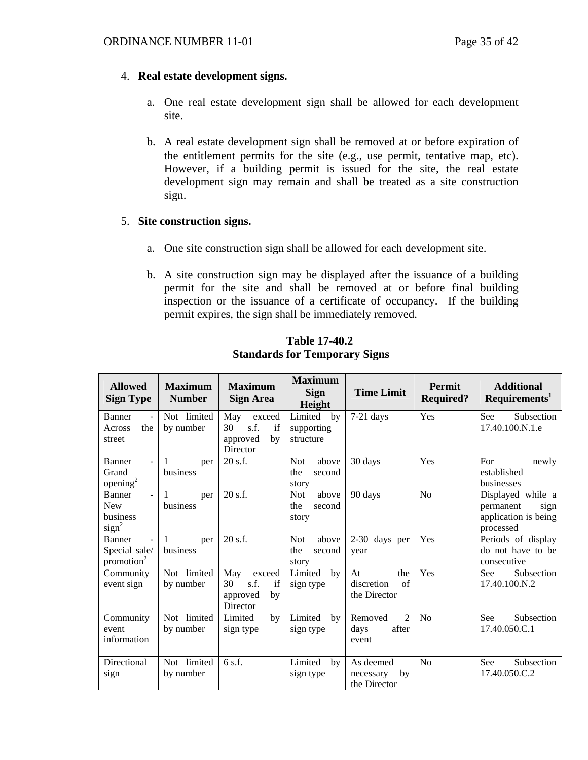#### 4. **Real estate development signs.**

- a. One real estate development sign shall be allowed for each development site.
- b. A real estate development sign shall be removed at or before expiration of the entitlement permits for the site (e.g., use permit, tentative map, etc). However, if a building permit is issued for the site, the real estate development sign may remain and shall be treated as a site construction sign.

## 5. **Site construction signs.**

- a. One site construction sign shall be allowed for each development site.
- b. A site construction sign may be displayed after the issuance of a building permit for the site and shall be removed at or before final building inspection or the issuance of a certificate of occupancy. If the building permit expires, the sign shall be immediately removed.

| <b>Allowed</b><br><b>Sign Type</b>                                                   | <b>Maximum</b><br><b>Number</b> | <b>Maximum</b><br><b>Sign Area</b>                              | <b>Maximum</b><br><b>Sign</b><br>Height       | <b>Time Limit</b>                                   | <b>Permit</b><br><b>Required?</b> | <b>Additional</b><br>Requirements <sup>1</sup>                              |
|--------------------------------------------------------------------------------------|---------------------------------|-----------------------------------------------------------------|-----------------------------------------------|-----------------------------------------------------|-----------------------------------|-----------------------------------------------------------------------------|
| <b>Banner</b><br>$\sim$<br>the<br>Across<br>street                                   | Not limited<br>by number        | May<br>exceed<br>s.f.<br>if<br>30<br>approved<br>by<br>Director | Limited<br>by<br>supporting<br>structure      | $7-21$ days                                         | Yes                               | See<br>Subsection<br>17.40.100.N.1.e                                        |
| <b>Banner</b><br>$\overline{a}$<br>Grand<br>opening <sup>2</sup>                     | 1<br>per<br>business            | $20$ s.f.                                                       | <b>Not</b><br>above<br>the<br>second<br>story | 30 days                                             | Yes                               | For<br>newly<br>established<br>businesses                                   |
| <b>Banner</b><br>$\overline{a}$<br><b>New</b><br>business<br>sign <sup>2</sup>       | 1<br>per<br>business            | $20$ s.f.                                                       | <b>Not</b><br>above<br>the<br>second<br>story | 90 days                                             | No                                | Displayed while a<br>permanent<br>sign<br>application is being<br>processed |
| <b>Banner</b><br>$\overline{\phantom{a}}$<br>Special sale/<br>promotion <sup>2</sup> | 1<br>per<br>business            | $20$ s.f.                                                       | <b>Not</b><br>above<br>the<br>second<br>story | 2-30 days per<br>year                               | Yes                               | Periods of display<br>do not have to be<br>consecutive                      |
| Community<br>event sign                                                              | Not limited<br>by number        | May<br>exceed<br>30<br>s.f.<br>if<br>approved<br>by<br>Director | Limited<br>by<br>sign type                    | the<br>At<br>discretion<br>of<br>the Director       | Yes                               | Subsection<br><b>See</b><br>17.40.100.N.2                                   |
| Community<br>event<br>information                                                    | Not limited<br>by number        | Limited<br>by<br>sign type                                      | Limited<br>by<br>sign type                    | $\overline{2}$<br>Removed<br>after<br>days<br>event | No                                | See<br>Subsection<br>17.40.050.C.1                                          |
| Directional<br>sign                                                                  | Not limited<br>by number        | 6 s.f.                                                          | Limited<br>by<br>sign type                    | As deemed<br>by<br>necessary<br>the Director        | No                                | Subsection<br>See<br>17.40.050.C.2                                          |

**Table 17-40.2 Standards for Temporary Signs**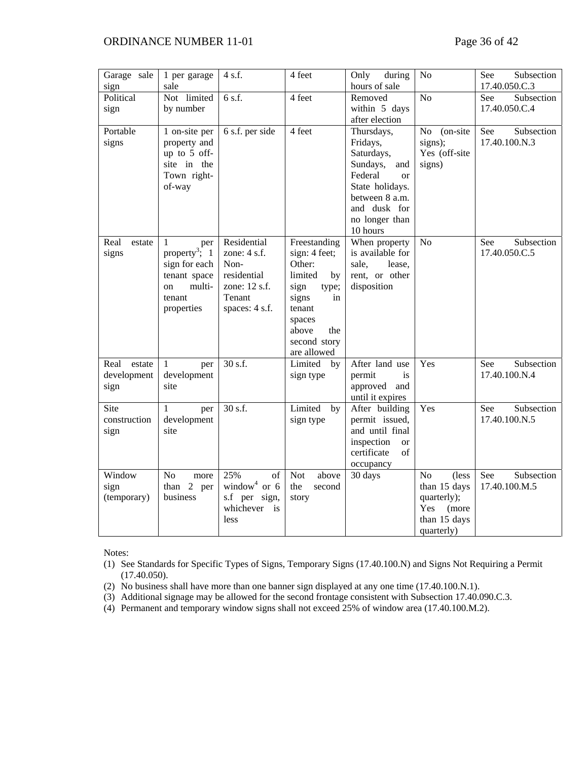#### ORDINANCE NUMBER 11-01 Page 36 of 42

| Garage sale<br>sign                   | 1 per garage<br>sale                                                                                           | 4 s.f.                                                                                            | 4 feet                                                                                                                                                      | Only<br>during<br>hours of sale                                                                                                                                        | N <sub>o</sub>                                                                                       | See<br>Subsection<br>17.40.050.C.3 |
|---------------------------------------|----------------------------------------------------------------------------------------------------------------|---------------------------------------------------------------------------------------------------|-------------------------------------------------------------------------------------------------------------------------------------------------------------|------------------------------------------------------------------------------------------------------------------------------------------------------------------------|------------------------------------------------------------------------------------------------------|------------------------------------|
| Political<br>sign                     | Not limited<br>by number                                                                                       | 6 s.f.                                                                                            | 4 feet                                                                                                                                                      | Removed<br>within 5 days<br>after election                                                                                                                             | No                                                                                                   | Subsection<br>See<br>17.40.050.C.4 |
| Portable<br>signs                     | 1 on-site per<br>property and<br>up to 5 off-<br>site in the<br>Town right-<br>of-way                          | 6 s.f. per side                                                                                   | 4 feet                                                                                                                                                      | Thursdays,<br>Fridays,<br>Saturdays,<br>Sundays,<br>and<br>Federal<br><sub>or</sub><br>State holidays.<br>between 8 a.m.<br>and dusk for<br>no longer than<br>10 hours | N <sub>o</sub><br>(on-site<br>signs);<br>Yes (off-site<br>signs)                                     | Subsection<br>See<br>17.40.100.N.3 |
| Real<br>estate<br>signs               | 1<br>per<br>property <sup>3</sup> ; 1<br>sign for each<br>tenant space<br>multi-<br>on<br>tenant<br>properties | Residential<br>zone: $4$ s.f.<br>Non-<br>residential<br>zone: 12 s.f.<br>Tenant<br>spaces: 4 s.f. | Freestanding<br>sign: 4 feet;<br>Other:<br>limited<br>by<br>sign<br>type;<br>signs<br>in<br>tenant<br>spaces<br>above<br>the<br>second story<br>are allowed | When property<br>is available for<br>sale,<br>lease.<br>rent, or other<br>disposition                                                                                  | N <sub>o</sub>                                                                                       | Subsection<br>See<br>17.40.050.C.5 |
| estate<br>Real<br>development<br>sign | 1<br>per<br>development<br>site                                                                                | 30 s.f.                                                                                           | Limited<br>by<br>sign type                                                                                                                                  | After land use<br>permit<br>is<br>approved and<br>until it expires                                                                                                     | Yes                                                                                                  | Subsection<br>See<br>17.40.100.N.4 |
| Site<br>construction<br>sign          | per<br>1<br>development<br>site                                                                                | 30 s.f.                                                                                           | Limited<br>by<br>sign type                                                                                                                                  | After building<br>permit issued,<br>and until final<br>inspection<br><b>or</b><br>certificate<br>of<br>occupancy                                                       | Yes                                                                                                  | Subsection<br>See<br>17.40.100.N.5 |
| Window<br>sign<br>(temporary)         | N <sub>o</sub><br>more<br>than 2 per<br>business                                                               | 25%<br>of<br>window <sup>4</sup> or $6$<br>s.f per sign,<br>whichever is<br>less                  | <b>Not</b><br>above<br>the<br>second<br>story                                                                                                               | 30 days                                                                                                                                                                | N <sub>o</sub><br>(less<br>than 15 days<br>quarterly);<br>Yes<br>(more<br>than 15 days<br>quarterly) | Subsection<br>See<br>17.40.100.M.5 |

Notes:

(1) See Standards for Specific Types of Signs, Temporary Signs (17.40.100.N) and Signs Not Requiring a Permit (17.40.050).

- (2) No business shall have more than one banner sign displayed at any one time (17.40.100.N.1).
- (3) Additional signage may be allowed for the second frontage consistent with Subsection 17.40.090.C.3.
- (4) Permanent and temporary window signs shall not exceed 25% of window area (17.40.100.M.2).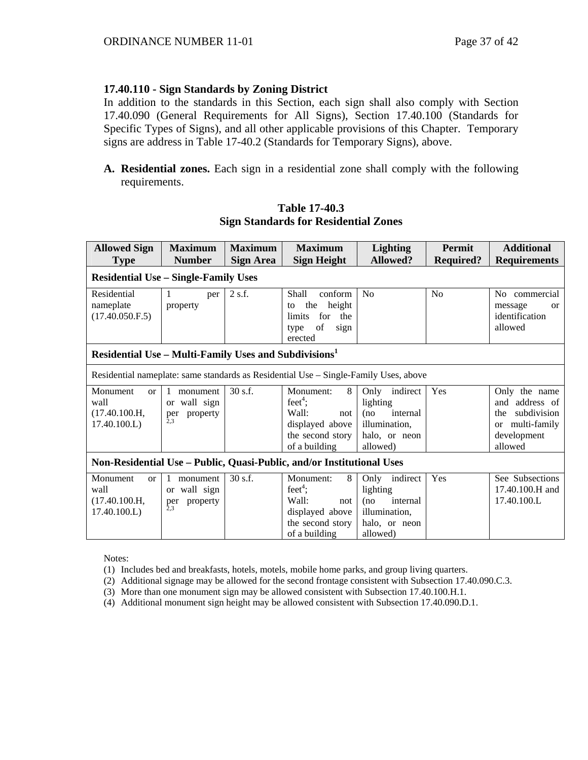## **17.40.110 - Sign Standards by Zoning District**

In addition to the standards in this Section, each sign shall also comply with Section 17.40.090 (General Requirements for All Signs), Section 17.40.100 (Standards for Specific Types of Signs), and all other applicable provisions of this Chapter. Temporary signs are address in Table 17-40.2 (Standards for Temporary Signs), above.

**A. Residential zones.** Each sign in a residential zone shall comply with the following requirements.

# **Table 17-40.3 Sign Standards for Residential Zones**

| <b>Allowed Sign</b>                                                                              | <b>Maximum</b><br><b>Number</b>     | <b>Maximum</b> | <b>Maximum</b>                                                                       | <b>Lighting</b><br><b>Allowed?</b> | <b>Permit</b> | <b>Additional</b>         |  |  |  |  |
|--------------------------------------------------------------------------------------------------|-------------------------------------|----------------|--------------------------------------------------------------------------------------|------------------------------------|---------------|---------------------------|--|--|--|--|
| <b>Required?</b><br><b>Requirements</b><br><b>Sign Height</b><br><b>Type</b><br><b>Sign Area</b> |                                     |                |                                                                                      |                                    |               |                           |  |  |  |  |
| <b>Residential Use - Single-Family Uses</b>                                                      |                                     |                |                                                                                      |                                    |               |                           |  |  |  |  |
| Residential                                                                                      | per                                 | 2 s.f.         | conform<br>Shall                                                                     | N <sub>o</sub>                     | No            | commercial<br>No          |  |  |  |  |
| nameplate                                                                                        | property                            |                | height<br>the<br>to                                                                  |                                    |               | message<br><b>or</b>      |  |  |  |  |
| (17.40.050.F.5)                                                                                  |                                     |                | for<br>limits<br>the                                                                 |                                    |               | identification            |  |  |  |  |
|                                                                                                  |                                     |                | of<br>sign<br>type                                                                   |                                    |               | allowed                   |  |  |  |  |
|                                                                                                  |                                     |                | erected                                                                              |                                    |               |                           |  |  |  |  |
| Residential Use - Multi-Family Uses and Subdivisions <sup>1</sup>                                |                                     |                |                                                                                      |                                    |               |                           |  |  |  |  |
|                                                                                                  |                                     |                | Residential nameplate: same standards as Residential Use – Single-Family Uses, above |                                    |               |                           |  |  |  |  |
| Monument<br>or                                                                                   | monument                            | 30 s.f.        | Monument:<br>8                                                                       | Only indirect                      | Yes           | Only the name             |  |  |  |  |
| wall                                                                                             | wall sign<br>$\alpha$               |                | feet <sup>4</sup> ;                                                                  | lighting                           |               | and address of            |  |  |  |  |
| (17.40.100.H,                                                                                    | property<br>per<br>2.3              |                | Wall:<br>not                                                                         | internal<br>(no                    |               | subdivision<br>the        |  |  |  |  |
| 17.40.100.L)                                                                                     |                                     |                | displayed above                                                                      | illumination,                      |               | multi-family<br><b>or</b> |  |  |  |  |
|                                                                                                  |                                     |                | the second story                                                                     | halo, or neon                      |               | development               |  |  |  |  |
|                                                                                                  |                                     |                | of a building                                                                        | allowed)                           |               | allowed                   |  |  |  |  |
| Non-Residential Use - Public, Quasi-Public, and/or Institutional Uses                            |                                     |                |                                                                                      |                                    |               |                           |  |  |  |  |
| Monument<br>or                                                                                   | monument                            | 30 s.f.        | Monument:<br>8                                                                       | Only indirect                      | Yes           | See Subsections           |  |  |  |  |
| wall                                                                                             | or wall sign                        |                | feet <sup>4</sup> ;                                                                  | lighting                           |               | 17.40.100.H and           |  |  |  |  |
| (17.40.100.H,                                                                                    | property<br>per<br>$\overline{2.3}$ |                | Wall:<br>not                                                                         | internal<br>(no                    |               | 17.40.100.L               |  |  |  |  |
| 17.40.100.L                                                                                      |                                     |                | displayed above                                                                      | illumination,                      |               |                           |  |  |  |  |
|                                                                                                  |                                     |                | the second story                                                                     | halo, or neon                      |               |                           |  |  |  |  |
|                                                                                                  |                                     |                | of a building                                                                        | allowed)                           |               |                           |  |  |  |  |

Notes:

(1) Includes bed and breakfasts, hotels, motels, mobile home parks, and group living quarters.

(2) Additional signage may be allowed for the second frontage consistent with Subsection 17.40.090.C.3.

(3) More than one monument sign may be allowed consistent with Subsection 17.40.100.H.1.

(4) Additional monument sign height may be allowed consistent with Subsection 17.40.090.D.1.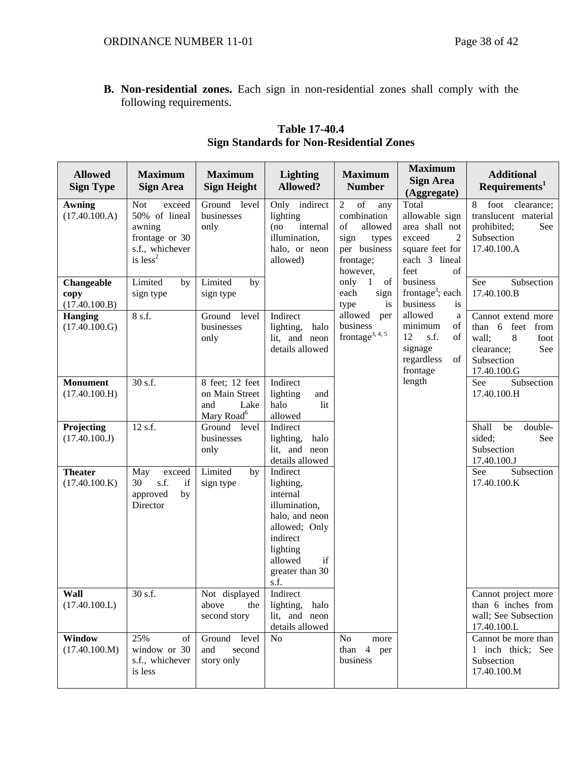**B. Non-residential zones.** Each sign in non-residential zones shall comply with the following requirements.

| <b>Allowed</b><br><b>Sign Type</b>  | <b>Maximum</b><br><b>Sign Area</b>                                                                 | <b>Maximum</b><br><b>Sign Height</b>                                       | <b>Lighting</b><br>Allowed?                                                                                                                               | <b>Maximum</b><br><b>Number</b>                                                                                                                                                                                       | <b>Maximum</b><br><b>Sign Area</b><br>(Aggregate)                                                                       | <b>Additional</b><br>Requirements <sup>1</sup>                                                                    |
|-------------------------------------|----------------------------------------------------------------------------------------------------|----------------------------------------------------------------------------|-----------------------------------------------------------------------------------------------------------------------------------------------------------|-----------------------------------------------------------------------------------------------------------------------------------------------------------------------------------------------------------------------|-------------------------------------------------------------------------------------------------------------------------|-------------------------------------------------------------------------------------------------------------------|
| <b>Awning</b><br>(17.40.100.A)      | <b>Not</b><br>exceed<br>50% of lineal<br>awning<br>frontage or 30<br>s.f., whichever<br>is $less2$ | Ground level<br>businesses<br>only                                         | Only indirect<br>lighting<br>internal<br>(no<br>illumination,<br>halo, or neon<br>allowed)                                                                | $% \left( \left( \mathcal{A},\mathcal{A}\right) \right) =\left( \mathcal{A},\mathcal{A}\right)$ of<br>$\overline{2}$<br>any<br>combination<br>of<br>allowed<br>sign<br>types<br>per business<br>frontage;<br>however, | Total<br>allowable sign<br>area shall not<br>exceed<br>$\overline{2}$<br>square feet for<br>each 3 lineal<br>of<br>feet | foot<br>clearance;<br>8<br>translucent material<br>prohibited;<br>See<br>Subsection<br>17.40.100.A                |
| Changeable<br>copy<br>(17.40.100.B) | Limited<br>by<br>sign type                                                                         | Limited<br>by<br>sign type                                                 |                                                                                                                                                           | only<br>$\mathbf{1}$<br>of<br>each<br>sign<br>type<br>is                                                                                                                                                              | business<br>frontage <sup>3</sup> ; each<br>business<br>is                                                              | See<br>Subsection<br>17.40.100.B                                                                                  |
| <b>Hanging</b><br>(17.40.100.G)     | 8 s.f.                                                                                             | Ground level<br>businesses<br>only                                         | Indirect<br>lighting,<br>halo<br>lit, and neon<br>details allowed                                                                                         | allowed<br>per<br>business<br>frontage <sup>3, 4, 5</sup>                                                                                                                                                             | allowed<br>a<br>minimum<br>of<br>12<br>s.f.<br>of<br>signage<br>regardless<br>of<br>frontage                            | Cannot extend more<br>than 6 feet<br>from<br>wall;<br>8<br>foot<br>clearance;<br>See<br>Subsection<br>17.40.100.G |
| <b>Monument</b><br>(17.40.100.H)    | 30 s.f.                                                                                            | 8 feet; 12 feet<br>on Main Street<br>and<br>Lake<br>Mary Road <sup>6</sup> | Indirect<br>lighting<br>and<br>halo<br>lit<br>allowed                                                                                                     |                                                                                                                                                                                                                       | length                                                                                                                  | See<br>Subsection<br>17.40.100.H                                                                                  |
| Projecting<br>(17.40.100.J)         | 12 s.f.                                                                                            | Ground<br>level<br>businesses<br>only                                      | Indirect<br>halo<br>lighting,<br>lit, and neon<br>details allowed                                                                                         |                                                                                                                                                                                                                       |                                                                                                                         | Shall<br>be<br>double-<br>sided;<br>See<br>Subsection<br>17.40.100.J                                              |
| <b>Theater</b><br>(17.40.100.K)     | May<br>exceed<br>30<br>s.f.<br>if<br>approved<br>by<br>Director                                    | Limited<br>by<br>sign type                                                 | Indirect<br>lighting,<br>internal<br>illumination,<br>halo, and neon<br>allowed; Only<br>indirect<br>lighting<br>allowed<br>if<br>greater than 30<br>s.f. |                                                                                                                                                                                                                       |                                                                                                                         | See<br>Subsection<br>17.40.100.K                                                                                  |
| <b>Wall</b><br>(17.40.100.L)        | 30 s.f.                                                                                            | Not displayed<br>above<br>the<br>second story                              | Indirect<br>lighting,<br>halo<br>lit, and neon<br>details allowed                                                                                         |                                                                                                                                                                                                                       |                                                                                                                         | Cannot project more<br>than 6 inches from<br>wall; See Subsection<br>17.40.100.L                                  |
| Window<br>(17.40.100.M)             | 25%<br>of<br>window or 30<br>s.f., whichever<br>is less                                            | Ground level<br>and<br>second<br>story only                                | No                                                                                                                                                        | N <sub>0</sub><br>more<br>$\overline{4}$<br>than<br>per<br>business                                                                                                                                                   |                                                                                                                         | Cannot be more than<br>1 inch thick; See<br>Subsection<br>17.40.100.M                                             |

**Table 17-40.4 Sign Standards for Non-Residential Zones**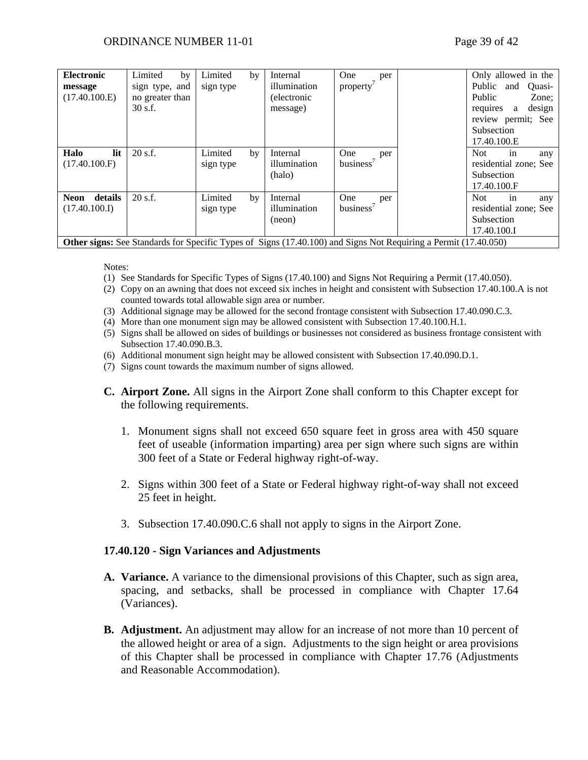| <b>Electronic</b><br>message<br>(17.40.100.E)                                                                          | Limited<br>by<br>sign type, and<br>no greater than<br>$30$ s.f. | Limited<br>sign type | by | Internal<br>illumination<br>(electronic<br>message) | One<br>per<br>property'             |  | Only allowed in the<br>Public and<br>Public<br>requires<br>a<br>review permit; See<br>Subsection<br>17.40.100.E | Ouasi-<br>Zone;<br>design |
|------------------------------------------------------------------------------------------------------------------------|-----------------------------------------------------------------|----------------------|----|-----------------------------------------------------|-------------------------------------|--|-----------------------------------------------------------------------------------------------------------------|---------------------------|
| lit<br>Halo<br>(17.40.100.F)                                                                                           | $20$ s.f.                                                       | Limited<br>sign type | by | Internal<br>illumination<br>(halo)                  | One<br>per<br>business'             |  | <b>Not</b><br>in<br>residential zone; See<br><b>Subsection</b><br>17.40.100.F                                   | any                       |
| details<br><b>Neon</b><br>(17.40.100.I)                                                                                | 20 s.f.                                                         | Limited<br>sign type | by | Internal<br>illumination<br>(neon)                  | One<br>per<br>business <sup>7</sup> |  | Not.<br>in<br>residential zone; See<br>Subsection<br>17.40.100.I                                                | any                       |
| <b>Other signs:</b> See Standards for Specific Types of Signs (17.40.100) and Signs Not Requiring a Permit (17.40.050) |                                                                 |                      |    |                                                     |                                     |  |                                                                                                                 |                           |

Notes:

- (1) See Standards for Specific Types of Signs (17.40.100) and Signs Not Requiring a Permit (17.40.050).
- (2) Copy on an awning that does not exceed six inches in height and consistent with Subsection 17.40.100.A is not counted towards total allowable sign area or number.
- (3) Additional signage may be allowed for the second frontage consistent with Subsection 17.40.090.C.3.
- (4) More than one monument sign may be allowed consistent with Subsection 17.40.100.H.1.
- (5) Signs shall be allowed on sides of buildings or businesses not considered as business frontage consistent with Subsection 17.40.090.B.3.
- (6) Additional monument sign height may be allowed consistent with Subsection 17.40.090.D.1.
- (7) Signs count towards the maximum number of signs allowed.
- **C. Airport Zone.** All signs in the Airport Zone shall conform to this Chapter except for the following requirements.
	- 1. Monument signs shall not exceed 650 square feet in gross area with 450 square feet of useable (information imparting) area per sign where such signs are within 300 feet of a State or Federal highway right-of-way.
	- 2. Signs within 300 feet of a State or Federal highway right-of-way shall not exceed 25 feet in height.
	- 3. Subsection 17.40.090.C.6 shall not apply to signs in the Airport Zone.

#### **17.40.120 - Sign Variances and Adjustments**

- **A. Variance.** A variance to the dimensional provisions of this Chapter, such as sign area, spacing, and setbacks, shall be processed in compliance with Chapter 17.64 (Variances).
- **B. Adjustment.** An adjustment may allow for an increase of not more than 10 percent of the allowed height or area of a sign. Adjustments to the sign height or area provisions of this Chapter shall be processed in compliance with Chapter 17.76 (Adjustments and Reasonable Accommodation).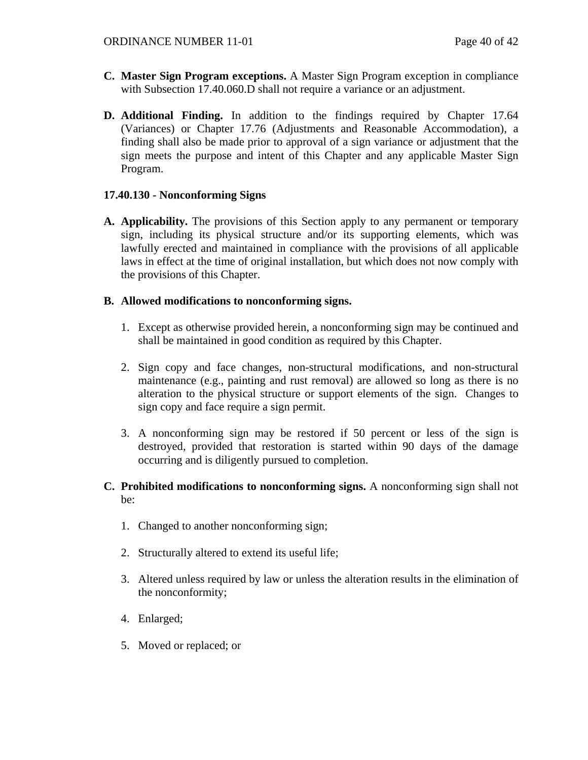- **C. Master Sign Program exceptions.** A Master Sign Program exception in compliance with Subsection 17.40.060.D shall not require a variance or an adjustment.
- **D. Additional Finding.** In addition to the findings required by Chapter 17.64 (Variances) or Chapter 17.76 (Adjustments and Reasonable Accommodation), a finding shall also be made prior to approval of a sign variance or adjustment that the sign meets the purpose and intent of this Chapter and any applicable Master Sign Program.

## **17.40.130 - Nonconforming Signs**

**A. Applicability.** The provisions of this Section apply to any permanent or temporary sign, including its physical structure and/or its supporting elements, which was lawfully erected and maintained in compliance with the provisions of all applicable laws in effect at the time of original installation, but which does not now comply with the provisions of this Chapter.

## **B. Allowed modifications to nonconforming signs.**

- 1. Except as otherwise provided herein, a nonconforming sign may be continued and shall be maintained in good condition as required by this Chapter.
- 2. Sign copy and face changes, non-structural modifications, and non-structural maintenance (e.g., painting and rust removal) are allowed so long as there is no alteration to the physical structure or support elements of the sign. Changes to sign copy and face require a sign permit.
- 3. A nonconforming sign may be restored if 50 percent or less of the sign is destroyed, provided that restoration is started within 90 days of the damage occurring and is diligently pursued to completion.

## **C. Prohibited modifications to nonconforming signs.** A nonconforming sign shall not be:

- 1. Changed to another nonconforming sign;
- 2. Structurally altered to extend its useful life;
- 3. Altered unless required by law or unless the alteration results in the elimination of the nonconformity;
- 4. Enlarged;
- 5. Moved or replaced; or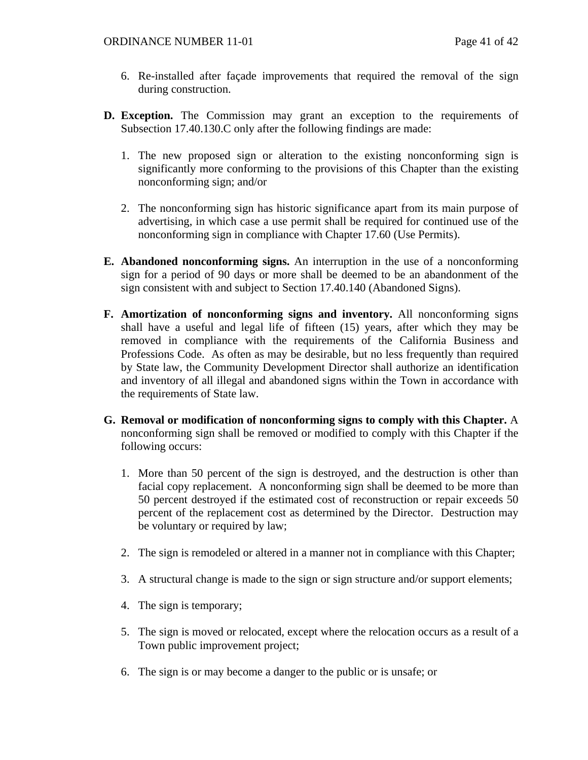- 6. Re-installed after façade improvements that required the removal of the sign during construction.
- **D. Exception.** The Commission may grant an exception to the requirements of Subsection 17.40.130.C only after the following findings are made:
	- 1. The new proposed sign or alteration to the existing nonconforming sign is significantly more conforming to the provisions of this Chapter than the existing nonconforming sign; and/or
	- 2. The nonconforming sign has historic significance apart from its main purpose of advertising, in which case a use permit shall be required for continued use of the nonconforming sign in compliance with Chapter 17.60 (Use Permits).
- **E. Abandoned nonconforming signs.** An interruption in the use of a nonconforming sign for a period of 90 days or more shall be deemed to be an abandonment of the sign consistent with and subject to Section 17.40.140 (Abandoned Signs).
- **F. Amortization of nonconforming signs and inventory.** All nonconforming signs shall have a useful and legal life of fifteen (15) years, after which they may be removed in compliance with the requirements of the California Business and Professions Code. As often as may be desirable, but no less frequently than required by State law, the Community Development Director shall authorize an identification and inventory of all illegal and abandoned signs within the Town in accordance with the requirements of State law.
- **G. Removal or modification of nonconforming signs to comply with this Chapter.** A nonconforming sign shall be removed or modified to comply with this Chapter if the following occurs:
	- 1. More than 50 percent of the sign is destroyed, and the destruction is other than facial copy replacement. A nonconforming sign shall be deemed to be more than 50 percent destroyed if the estimated cost of reconstruction or repair exceeds 50 percent of the replacement cost as determined by the Director. Destruction may be voluntary or required by law;
	- 2. The sign is remodeled or altered in a manner not in compliance with this Chapter;
	- 3. A structural change is made to the sign or sign structure and/or support elements;
	- 4. The sign is temporary;
	- 5. The sign is moved or relocated, except where the relocation occurs as a result of a Town public improvement project;
	- 6. The sign is or may become a danger to the public or is unsafe; or